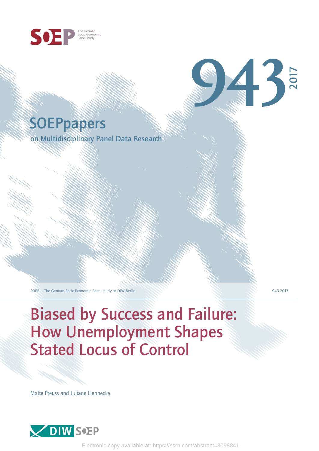

# **SOEPpapers**

on Multidisciplinary Panel Data Research

SOEP — The German Socio-Economic Panel study at DIW Berlin 943-2017

2017

**943**

# Biased by Success and Failure: How Unemployment Shapes Stated Locus of Control

Malte Preuss and Juliane Hennecke



Electronic copy available at: https://ssrn.com/abstract=3098841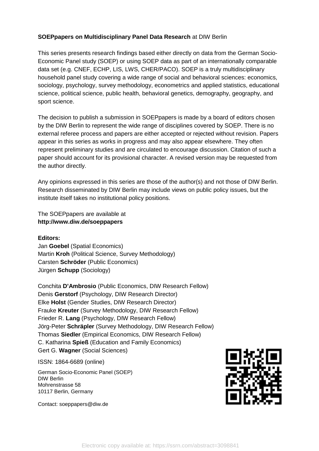# **SOEPpapers on Multidisciplinary Panel Data Research** at DIW Berlin

This series presents research findings based either directly on data from the German Socio-Economic Panel study (SOEP) or using SOEP data as part of an internationally comparable data set (e.g. CNEF, ECHP, LIS, LWS, CHER/PACO). SOEP is a truly multidisciplinary household panel study covering a wide range of social and behavioral sciences: economics, sociology, psychology, survey methodology, econometrics and applied statistics, educational science, political science, public health, behavioral genetics, demography, geography, and sport science.

The decision to publish a submission in SOEPpapers is made by a board of editors chosen by the DIW Berlin to represent the wide range of disciplines covered by SOEP. There is no external referee process and papers are either accepted or rejected without revision. Papers appear in this series as works in progress and may also appear elsewhere. They often represent preliminary studies and are circulated to encourage discussion. Citation of such a paper should account for its provisional character. A revised version may be requested from the author directly.

Any opinions expressed in this series are those of the author(s) and not those of DIW Berlin. Research disseminated by DIW Berlin may include views on public policy issues, but the institute itself takes no institutional policy positions.

The SOEPpapers are available at **http://www.diw.de/soeppapers**

### **Editors:**

Jan **Goebel** (Spatial Economics) Martin **Kroh** (Political Science, Survey Methodology) Carsten **Schröder** (Public Economics) Jürgen **Schupp** (Sociology)

Conchita **D'Ambrosio** (Public Economics, DIW Research Fellow) Denis **Gerstorf** (Psychology, DIW Research Director) Elke **Holst** (Gender Studies, DIW Research Director) Frauke **Kreuter** (Survey Methodology, DIW Research Fellow) Frieder R. **Lang** (Psychology, DIW Research Fellow) Jörg-Peter **Schräpler** (Survey Methodology, DIW Research Fellow) Thomas **Siedler** (Empirical Economics, DIW Research Fellow) C. Katharina **Spieß** (Education and Family Economics) Gert G. **Wagner** (Social Sciences)

ISSN: 1864-6689 (online)

German Socio-Economic Panel (SOEP) DIW Berlin Mohrenstrasse 58 10117 Berlin, Germany

Contact: soeppapers@diw.de

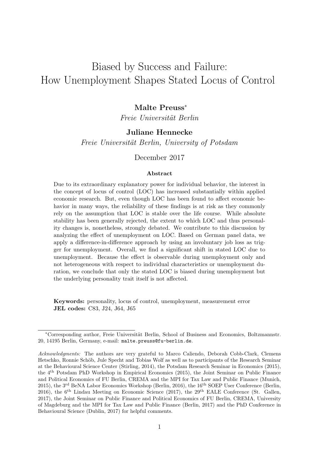# Biased by Success and Failure: How Unemployment Shapes Stated Locus of Control

# Malte Preuss<sup>∗</sup>

Freie Universität Berlin

# Juliane Hennecke

Freie Universität Berlin, University of Potsdam

## December 2017

#### Abstract

Due to its extraordinary explanatory power for individual behavior, the interest in the concept of locus of control (LOC) has increased substantially within applied economic research. But, even though LOC has been found to affect economic behavior in many ways, the reliability of these findings is at risk as they commonly rely on the assumption that LOC is stable over the life course. While absolute stability has been generally rejected, the extent to which LOC and thus personality changes is, nonetheless, strongly debated. We contribute to this discussion by analyzing the effect of unemployment on LOC. Based on German panel data, we apply a difference-in-difference approach by using an involuntary job loss as trigger for unemployment. Overall, we find a significant shift in stated LOC due to unemployment. Because the effect is observable during unemployment only and not heterogeneous with respect to individual characteristics or unemployment duration, we conclude that only the stated LOC is biased during unemployment but the underlying personality trait itself is not affected.

Keywords: personality, locus of control, unemployment, measurement error JEL codes: C83, J24, J64, J65

<sup>∗</sup>Corresponding author, Freie Universit¨at Berlin, School of Business and Economics, Boltzmannstr. 20, 14195 Berlin, Germany, e-mail: [malte.preuss@fu-berlin.de](mailto:malte.preuss@fu-berlin.de).

Acknowledgments: The authors are very grateful to Marco Caliendo, Deborah Cobb-Clark, Clemens Hetschko, Ronnie Schöb, Jule Specht and Tobias Wolf as well as to participants of the Research Seminar at the Behavioural Science Center (Stirling, 2014), the Potsdam Research Seminar in Economics (2015), the 4th Potsdam PhD Workshop in Empirical Economics (2015), the Joint Seminar on Public Finance and Political Economics of FU Berlin, CREMA and the MPI for Tax Law and Public Finance (Munich, 2015), the 3rd BeNA Labor Economics Workshop (Berlin, 2016), the 16th SOEP User Conference (Berlin, 2016), the 6th Lindau Meeting on Economic Science (2017), the 29th EALE Conference (St. Gallen, 2017), the Joint Seminar on Public Finance and Political Economics of FU Berlin, CREMA, University of Magdeburg and the MPI for Tax Law and Public Finance (Berlin, 2017) and the PhD Conference in Behavioural Science (Dublin, 2017) for helpful comments.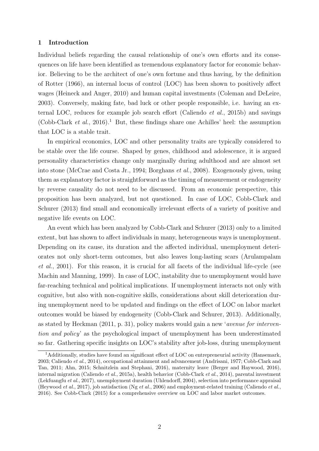#### 1 Introduction

Individual beliefs regarding the causal relationship of one's own efforts and its consequences on life have been identified as tremendous explanatory factor for economic behavior. Believing to be the architect of one's own fortune and thus having, by the definition of [Rotter](#page-31-0) [\(1966\)](#page-31-0), an internal locus of control (LOC) has been shown to positively affect wages [\(Heineck and Anger, 2010\)](#page-30-0) and human capital investments [\(Coleman and DeLeire,](#page-30-1) [2003\)](#page-30-1). Conversely, making fate, bad luck or other people responsible, i.e. having an external LOC, reduces for example job search effort [\(Caliendo](#page-29-0) et al., [2015b\)](#page-29-0) and savings [\(Cobb-Clark](#page-29-1) et al., [2016\)](#page-29-1).<sup>[1](#page-3-0)</sup> But, these findings share one Achilles' heel: the assumption that LOC is a stable trait.

In empirical economics, LOC and other personality traits are typically considered to be stable over the life course. Shaped by genes, childhood and adolescence, it is argued personality characteristics change only marginally during adulthood and are almost set into stone [\(McCrae and Costa Jr., 1994;](#page-31-1) [Borghans](#page-29-2) et al., [2008\)](#page-29-2). Exogenously given, using them as explanatory factor is straightforward as the timing of measurement or endogeneity by reverse causality do not need to be discussed. From an economic perspective, this proposition has been analyzed, but not questioned. In case of LOC, [Cobb-Clark and](#page-29-3) [Schurer](#page-29-3) [\(2013\)](#page-29-3) find small and economically irrelevant effects of a variety of positive and negative life events on LOC.

An event which has been analyzed by [Cobb-Clark and Schurer](#page-29-3) [\(2013\)](#page-29-3) only to a limited extent, but has shown to affect individuals in many, heterogeneous ways is unemployment. Depending on its cause, its duration and the affected individual, unemployment deteriorates not only short-term outcomes, but also leaves long-lasting scars [\(Arulampalam](#page-29-4) [et al.](#page-29-4), [2001\)](#page-29-4). For this reason, it is crucial for all facets of the individual life-cycle (see [Machin and Manning, 1999\)](#page-31-2). In case of LOC, instability due to unemployment would have far-reaching technical and political implications. If unemployment interacts not only with cognitive, but also with non-cognitive skills, considerations about skill deterioration during unemployment need to be updated and findings on the effect of LOC on labor market outcomes would be biased by endogeneity [\(Cobb-Clark and Schurer, 2013\)](#page-29-3). Additionally, as stated by [Heckman](#page-30-2) [\(2011,](#page-30-2) p. 31), policy makers would gain a new 'avenue for intervention and policy' as the psychological impact of unemployment has been underestimated so far. Gathering specific insights on LOC's stability after job-loss, during unemployment

<span id="page-3-0"></span><sup>&</sup>lt;sup>1</sup>Additionally, studies have found an significant effect of LOC on entrepreneurial activity [\(Hansemark,](#page-30-3) [2003;](#page-30-3) [Caliendo](#page-29-5) et al., [2014\)](#page-29-5), occupational attainment and advancement [\(Andrisani, 1977;](#page-29-6) [Cobb-Clark and](#page-29-7) [Tan, 2011;](#page-29-7) [Ahn, 2015;](#page-29-8) [Schnitzlein and Stephani, 2016\)](#page-31-3), maternity leave [\(Berger and Haywood, 2016\)](#page-29-9), internal migration [\(Caliendo](#page-29-10) et al., [2015a\)](#page-29-10), health behavior [\(Cobb-Clark](#page-29-11) et al., [2014\)](#page-29-11), parental investment [\(Lekfuangfu](#page-31-4) et al., [2017\)](#page-31-4), unemployment duration [\(Uhlendorff, 2004\)](#page-32-0), selection into performance appraisal [\(Heywood](#page-30-4) *[et al.](#page-31-5)*, [2017\)](#page-30-4), job satisfaction (Ng *et al.*, [2006\)](#page-31-5) and employment-related training [\(Caliendo](#page-29-12) *et al.*, [2016\)](#page-29-12). See [Cobb-Clark](#page-29-13) [\(2015\)](#page-29-13) for a comprehensive overview on LOC and labor market outcomes.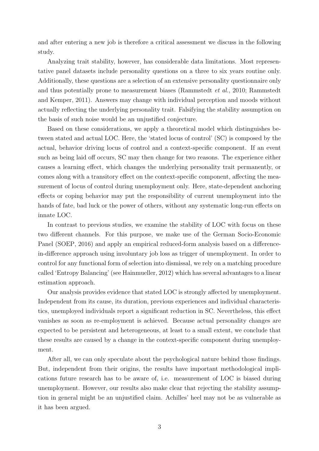and after entering a new job is therefore a critical assessment we discuss in the following study.

Analyzing trait stability, however, has considerable data limitations. Most representative panel datasets include personality questions on a three to six years routine only. Additionally, these questions are a selection of an extensive personality questionnaire only and thus potentially prone to measurement biases [\(Rammstedt](#page-31-6) et al., [2010;](#page-31-6) [Rammstedt](#page-31-7) [and Kemper, 2011\)](#page-31-7). Answers may change with individual perception and moods without actually reflecting the underlying personality trait. Falsifying the stability assumption on the basis of such noise would be an unjustified conjecture.

Based on these considerations, we apply a theoretical model which distinguishes between stated and actual LOC. Here, the 'stated locus of control' (SC) is composed by the actual, behavior driving locus of control and a context-specific component. If an event such as being laid off occurs, SC may then change for two reasons. The experience either causes a learning effect, which changes the underlying personality trait permanently, or comes along with a transitory effect on the context-specific component, affecting the measurement of locus of control during unemployment only. Here, state-dependent anchoring effects or coping behavior may put the responsibility of current unemployment into the hands of fate, bad luck or the power of others, without any systematic long-run effects on innate LOC.

In contrast to previous studies, we examine the stability of LOC with focus on these two different channels. For this purpose, we make use of the German Socio-Economic Panel [\(SOEP, 2016\)](#page-32-1) and apply an empirical reduced-form analysis based on a differencein-difference approach using involuntary job loss as trigger of unemployment. In order to control for any functional form of selection into dismissal, we rely on a matching procedure called 'Entropy Balancing' (see [Hainmueller, 2012\)](#page-30-5) which has several advantages to a linear estimation approach.

Our analysis provides evidence that stated LOC is strongly affected by unemployment. Independent from its cause, its duration, previous experiences and individual characteristics, unemployed individuals report a significant reduction in SC. Nevertheless, this effect vanishes as soon as re-employment is achieved. Because actual personality changes are expected to be persistent and heterogeneous, at least to a small extent, we conclude that these results are caused by a change in the context-specific component during unemployment.

After all, we can only speculate about the psychological nature behind those findings. But, independent from their origins, the results have important methodological implications future research has to be aware of, i.e. measurement of LOC is biased during unemployment. However, our results also make clear that rejecting the stability assumption in general might be an unjustified claim. Achilles' heel may not be as vulnerable as it has been argued.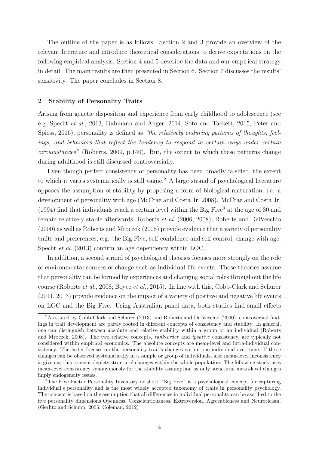The outline of the paper is as follows. Section [2](#page-5-0) and [3](#page-7-0) provide an overview of the relevant literature and introduce theoretical considerations to derive expectations on the following empirical analysis. Section [4](#page-10-0) and [5](#page-13-0) describe the data and our empirical strategy in detail. The main results are then presented in Section [6.](#page-16-0) Section [7](#page-24-0) discusses the results' sensitivity. The paper concludes in Section [8.](#page-26-0)

#### <span id="page-5-0"></span>2 Stability of Personality Traits

Arising from genetic disposition and experience from early childhood to adolescence (see e.g. [Specht](#page-32-2) et al., [2013;](#page-32-2) [Dahmann and Anger, 2014;](#page-30-6) [Soto and Tackett, 2015;](#page-32-3) [Peter and](#page-31-8) [Spiess, 2016\)](#page-31-8), personality is defined as "the relatively enduring patterns of thoughts, feelings, and behaviors that reflect the tendency to respond in certain ways under certain circumstances" [\(Roberts, 2009,](#page-31-9) p.140). But, the extent to which these patterns change during adulthood is still discussed controversially.

Even though perfect consistency of personality has been broadly falsified, the extent to which it varies systematically is still vague.<sup>[2](#page-5-1)</sup> A large strand of psychological literature opposes the assumption of stability by proposing a form of biological maturation, i.e. a development of personality with age [\(McCrae and Costa Jr, 2008\)](#page-31-10). [McCrae and Costa Jr.](#page-31-1) [\(1994\)](#page-31-1) find that individuals reach a certain level within the Big Five<sup>[3](#page-5-2)</sup> at the age of 30 and remain relatively stable afterwards. [Roberts](#page-31-11) et al. [\(2006,](#page-31-11) [2008\)](#page-31-12), [Roberts and DelVecchio](#page-31-13) [\(2000\)](#page-31-13) as well as [Roberts and Mroczek](#page-31-14) [\(2008\)](#page-31-14) provide evidence that a variety of personality traits and preferences, e.g. the Big Five, self-confidence and self-control, change with age. [Specht](#page-32-2) et al. [\(2013\)](#page-32-2) confirm an age dependency within LOC.

In addition, a second strand of psychological theories focuses more strongly on the role of environmental sources of change such as individual life events. Those theories assume that personality can be formed by experiences and changing social roles throughout the life course [\(Roberts](#page-31-12) et al., [2008;](#page-31-12) [Boyce](#page-29-14) et al., [2015\)](#page-29-14). In line with this, [Cobb-Clark and Schurer](#page-29-15) [\(2011,](#page-29-15) [2013\)](#page-29-3) provide evidence on the impact of a variety of positive and negative life events on LOC and the Big Five. Using Australian panel data, both studies find small effects

<span id="page-5-1"></span><sup>&</sup>lt;sup>2</sup>As stated by [Cobb-Clark and Schurer](#page-29-3) [\(2013\)](#page-29-3) and [Roberts and DelVecchio](#page-31-13) [\(2000\)](#page-31-13), controversial findings in trait development are partly rooted in different concepts of consistency and stability. In general, one can distinguish between absolute and relative stability within a group or an individual [\(Roberts](#page-31-14) [and Mroczek, 2008\)](#page-31-14). The two relative concepts, *rank-order* and *ipsative* consistency, are typically not considered within empirical economics. The absolute concepts are mean-level and intra-individual consistency. The latter focuses on the personality trait's changes within one individual over time. If those changes can be observed systematically in a sample or group of individuals, also mean-level inconsistency is given as this concept depicts structural changes within the whole population. The following study uses mean-level consistency synonymously for the stability assumption as only structural mean-level changes imply endogeneity issues.

<span id="page-5-2"></span><sup>&</sup>lt;sup>3</sup>The Five Factor Personality Inventory or short "Big Five" is a psychological concept for capturing individual's personality and is the most widely accepted taxonomy of traits in personality psychology. The concept is based on the assumption that all differences in individual personality can be ascribed to the five personality dimensions Openness, Conscientiousness, Extraversion, Agreeableness and Neuroticism. [\(Gerlitz and Schupp, 2005;](#page-30-7) [Coleman, 2012\)](#page-29-16)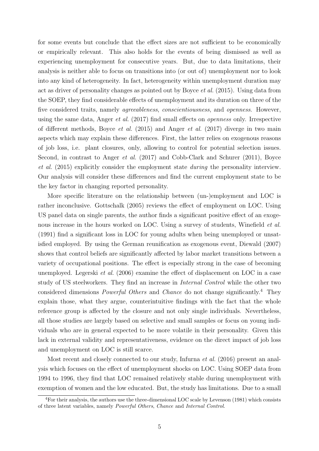for some events but conclude that the effect sizes are not sufficient to be economically or empirically relevant. This also holds for the events of being dismissed as well as experiencing unemployment for consecutive years. But, due to data limitations, their analysis is neither able to focus on transitions into (or out of) unemployment nor to look into any kind of heterogeneity. In fact, heterogeneity within unemployment duration may act as driver of personality changes as pointed out by [Boyce](#page-29-14) et al. [\(2015\)](#page-29-14). Using data from the SOEP, they find considerable effects of unemployment and its duration on three of the five considered traits, namely agreeableness, conscientiousness, and openness. However, using the same data, [Anger](#page-29-17) et al. [\(2017\)](#page-29-17) find small effects on openness only. Irrespective of different methods, [Boyce](#page-29-14) *et al.* [\(2015\)](#page-29-14) and [Anger](#page-29-17) *et al.* [\(2017\)](#page-29-17) diverge in two main aspects which may explain these differences. First, the latter relies on exogenous reasons of job loss, i.e. plant closures, only, allowing to control for potential selection issues. Second, in contrast to [Anger](#page-29-17) *et al.* [\(2017\)](#page-29-17) and [Cobb-Clark and Schurer](#page-29-15) [\(2011\)](#page-29-15), [Boyce](#page-29-14) [et al.](#page-29-14) [\(2015\)](#page-29-14) explicitly consider the employment state during the personality interview. Our analysis will consider these differences and find the current employment state to be the key factor in changing reported personality.

More specific literature on the relationship between (un-)employment and LOC is rather inconclusive. [Gottschalk](#page-30-8) [\(2005\)](#page-30-8) reviews the effect of employment on LOC. Using US panel data on single parents, the author finds a significant positive effect of an exoge-nous increase in the hours worked on LOC. Using a survey of students, [Winefield](#page-32-4) *et al.* [\(1991\)](#page-32-4) find a significant loss in LOC for young adults when being unemployed or unsatisfied employed. By using the German reunification as exogenous event, [Diewald](#page-30-9) [\(2007\)](#page-30-9) shows that control beliefs are significantly affected by labor market transitions between a variety of occupational positions. The effect is especially strong in the case of becoming unemployed. [Legerski](#page-30-10) *et al.* [\(2006\)](#page-30-10) examine the effect of displacement on LOC in a case study of US steelworkers. They find an increase in Internal Control while the other two considered dimensions Powerful Others and Chance do not change significantly.[4](#page-6-0) They explain those, what they argue, counterintuitive findings with the fact that the whole reference group is affected by the closure and not only single individuals. Nevertheless, all those studies are largely based on selective and small samples or focus on young individuals who are in general expected to be more volatile in their personality. Given this lack in external validity and representativeness, evidence on the direct impact of job loss and unemployment on LOC is still scarce.

Most recent and closely connected to our study, [Infurna](#page-30-11) et al. [\(2016\)](#page-30-11) present an analysis which focuses on the effect of unemployment shocks on LOC. Using SOEP data from 1994 to 1996, they find that LOC remained relatively stable during unemployment with exemption of women and the low educated. But, the study has limitations. Due to a small

<span id="page-6-0"></span><sup>4</sup>For their analysis, the authors use the three-dimensional LOC scale by [Levenson](#page-31-15) [\(1981\)](#page-31-15) which consists of three latent variables, namely Powerful Others, Chance and Internal Control.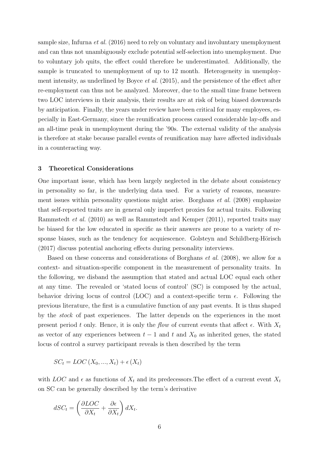sample size, [Infurna](#page-30-11) et al. [\(2016\)](#page-30-11) need to rely on voluntary and involuntary unemployment and can thus not unambiguously exclude potential self-selection into unemployment. Due to voluntary job quits, the effect could therefore be underestimated. Additionally, the sample is truncated to unemployment of up to 12 month. Heterogeneity in unemploy-ment intensity, as underlined by [Boyce](#page-29-14) *et al.* [\(2015\)](#page-29-14), and the persistence of the effect after re-employment can thus not be analyzed. Moreover, due to the small time frame between two LOC interviews in their analysis, their results are at risk of being biased downwards by anticipation. Finally, the years under review have been critical for many employees, especially in East-Germany, since the reunification process caused considerable lay-offs and an all-time peak in unemployment during the '90s. The external validity of the analysis is therefore at stake because parallel events of reunification may have affected individuals in a counteracting way.

#### <span id="page-7-0"></span>3 Theoretical Considerations

One important issue, which has been largely neglected in the debate about consistency in personality so far, is the underlying data used. For a variety of reasons, measurement issues within personality questions might arise. [Borghans](#page-29-2) et al. [\(2008\)](#page-29-2) emphasize that self-reported traits are in general only imperfect proxies for actual traits. Following [Rammstedt](#page-31-6) et al. [\(2010\)](#page-31-6) as well as [Rammstedt and Kemper](#page-31-7) [\(2011\)](#page-31-7), reported traits may be biased for the low educated in specific as their answers are prone to a variety of response biases, such as the tendency for acquiescence. Golsteyn and Schildberg-Hörisch [\(2017\)](#page-30-12) discuss potential anchoring effects during personality interviews.

Based on these concerns and considerations of [Borghans](#page-29-2) et al. [\(2008\)](#page-29-2), we allow for a context- and situation-specific component in the measurement of personality traits. In the following, we disband the assumption that stated and actual LOC equal each other at any time. The revealed or 'stated locus of control' (SC) is composed by the actual, behavior driving locus of control (LOC) and a context-specific term  $\epsilon$ . Following the previous literature, the first is a cumulative function of any past events. It is thus shaped by the stock of past experiences. The latter depends on the experiences in the most present period t only. Hence, it is only the flow of current events that affect  $\epsilon$ . With  $X_t$ as vector of any experiences between  $t-1$  and  $t$  and  $X_0$  as inherited genes, the stated locus of control a survey participant reveals is then described by the term

$$
SC_t = LOC(X_0, ..., X_t) + \epsilon(X_t)
$$

with LOC and  $\epsilon$  as functions of  $X_t$  and its predecessors. The effect of a current event  $X_t$ on SC can be generally described by the term's derivative

$$
dSC_t = \left(\frac{\partial LOC}{\partial X_t} + \frac{\partial \epsilon}{\partial X_t}\right) dX_t.
$$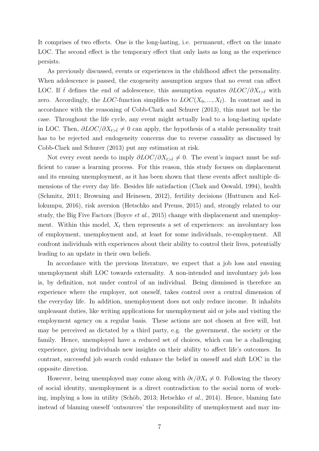It comprises of two effects. One is the long-lasting, i.e. permanent, effect on the innate LOC. The second effect is the temporary effect that only lasts as long as the experience persists.

As previously discussed, events or experiences in the childhood affect the personality. When adolescence is passed, the exogeneity assumption argues that no event can affect LOC. If t defines the end of adolescence, this assumption equates  $\partial$ LOC/ $\partial X_{t\geq t}$  with zero. Accordingly, the LOC-function simplifies to  $LOC(X_0, ..., X_{\bar{t}})$ . In contrast and in accordance with the reasoning of [Cobb-Clark and Schurer](#page-29-3) [\(2013\)](#page-29-3), this must not be the case. Throughout the life cycle, any event might actually lead to a long-lasting update in LOC. Then,  $\partial LOC/\partial X_{t\geq t}\neq 0$  can apply, the hypothesis of a stable personality trait has to be rejected and endogeneity concerns due to reverse causality as discussed by [Cobb-Clark and Schurer](#page-29-3) [\(2013\)](#page-29-3) put any estimation at risk.

Not every event needs to imply  $\partial LOC/\partial X_{t\geq \bar{t}}\neq 0$ . The event's impact must be sufficient to cause a learning process. For this reason, this study focuses on displacement and its ensuing unemployment, as it has been shown that these events affect multiple dimensions of the every day life. Besides life satisfaction [\(Clark and Oswald, 1994\)](#page-29-18), health [\(Schmitz, 2011;](#page-31-16) [Browning and Heinesen, 2012\)](#page-29-19), fertility decisions [\(Huttunen and Kel](#page-30-13)[lokumpu, 2016\)](#page-30-13), risk aversion [\(Hetschko and Preuss, 2015\)](#page-30-14) and, strongly related to our study, the Big Five Factors [\(Boyce](#page-29-14) *et al.*, [2015\)](#page-29-14) change with displacement and unemployment. Within this model,  $X_t$  then represents a set of experiences: an involuntary loss of employment, unemployment and, at least for some individuals, re-employment. All confront individuals with experiences about their ability to control their lives, potentially leading to an update in their own beliefs.

In accordance with the previous literature, we expect that a job loss and ensuing unemployment shift LOC towards externality. A non-intended and involuntary job loss is, by definition, not under control of an individual. Being dismissed is therefore an experience where the employer, not oneself, takes control over a central dimension of the everyday life. In addition, unemployment does not only reduce income. It inhabits unpleasant duties, like writing applications for unemployment aid or jobs and visiting the employment agency on a regular basis. These actions are not chosen at free will, but may be perceived as dictated by a third party, e.g. the government, the society or the family. Hence, unemployed have a reduced set of choices, which can be a challenging experience, giving individuals new insights on their ability to affect life's outcomes. In contrast, successful job search could enhance the belief in oneself and shift LOC in the opposite direction.

However, being unemployed may come along with  $\partial \epsilon / \partial X_t \neq 0$ . Following the theory of social identity, unemployment is a direct contradiction to the social norm of work-ing, implying a loss in utility (Schöb, 2013; [Hetschko](#page-30-15) *et al.*, [2014\)](#page-30-15). Hence, blaming fate instead of blaming oneself 'outsources' the responsibility of unemployment and may im-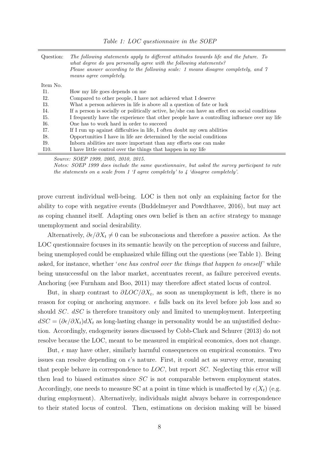<span id="page-9-0"></span>

| Question: | The following statements apply to different attitudes towards life and the future. To<br>what degree do you personally agree with the following statements?<br>Please answer according to the following scale: 1 means disagree completely, and 7<br>means agree completely. |
|-----------|------------------------------------------------------------------------------------------------------------------------------------------------------------------------------------------------------------------------------------------------------------------------------|
| Item No.  |                                                                                                                                                                                                                                                                              |
| I1.       | How my life goes depends on me                                                                                                                                                                                                                                               |
| I2.       | Compared to other people, I have not achieved what I deserve                                                                                                                                                                                                                 |
| 13.       | What a person achieves in life is above all a question of fate or luck                                                                                                                                                                                                       |
| I4.       | If a person is socially or politically active, he/she can have an effect on social conditions                                                                                                                                                                                |
| I5.       | I frequently have the experience that other people have a controlling influence over my life                                                                                                                                                                                 |
| I6.       | One has to work hard in order to succeed                                                                                                                                                                                                                                     |
| I7.       | If I run up against difficulties in life, I often doubt my own abilities                                                                                                                                                                                                     |
| I8.       | Opportunities I have in life are determined by the social conditions                                                                                                                                                                                                         |
| I9.       | Inform a solution are more important than any efforts one can make                                                                                                                                                                                                           |
| I10.      | I have little control over the things that happen in my life                                                                                                                                                                                                                 |
|           |                                                                                                                                                                                                                                                                              |

Table 1: LOC questionnaire in the SOEP

Source: SOEP 1999, 2005, 2010, 2015.

Notes: SOEP 1999 does include the same questionnaire, but asked the survey participant to rate the statements on a scale from 1  $\dot{\mathcal{I}}$  agree completely' to  $\ddot{\mathcal{I}}$  'disagree completely'.

prove current individual well-being. LOC is then not only an explaining factor for the ability to cope with negative events [\(Buddelmeyer and Powdthavee, 2016\)](#page-29-20), but may act as coping channel itself. Adapting ones own belief is then an active strategy to manage unemployment and social desirability.

Alternatively,  $\partial \epsilon/\partial X_t \neq 0$  can be subconscious and therefore a *passive* action. As the LOC questionnaire focuses in its semantic heavily on the perception of success and failure, being unemployed could be emphasized while filling out the questions (see Table [1\)](#page-9-0). Being asked, for instance, whether 'one has control over the things that happen to oneself' while being unsuccessful on the labor market, accentuates recent, as failure perceived events. Anchoring (see [Furnham and Boo, 2011\)](#page-30-16) may therefore affect stated locus of control.

But, in sharp contrast to  $\partial LOC/\partial X_t$ , as soon as unemployment is left, there is no reason for coping or anchoring anymore.  $\epsilon$  falls back on its level before job loss and so should SC. dSC is therefore transitory only and limited to unemployment. Interpreting  $dSC = (\partial \epsilon/\partial X_t) dX_t$  as long-lasting change in personality would be an unjustified deduction. Accordingly, endogeneity issues discussed by [Cobb-Clark and Schurer](#page-29-3) [\(2013\)](#page-29-3) do not resolve because the LOC, meant to be measured in empirical economics, does not change.

But,  $\epsilon$  may have other, similarly harmful consequences on empirical economics. Two issues can resolve depending on  $\epsilon$ 's nature. First, it could act as survey error, meaning that people behave in correspondence to LOC, but report SC. Neglecting this error will then lead to biased estimates since SC is not comparable between employment states. Accordingly, one needs to measure SC at a point in time which is unaffected by  $\epsilon(X_t)$  (e.g. during employment). Alternatively, individuals might always behave in correspondence to their stated locus of control. Then, estimations on decision making will be biased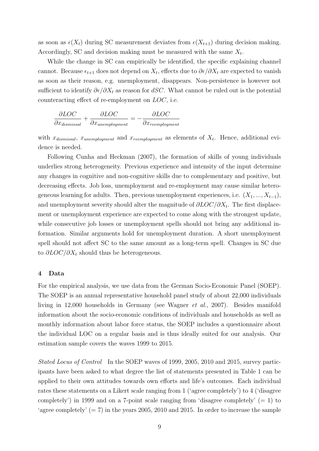as soon as  $\epsilon(X_t)$  during SC measurement deviates from  $\epsilon(X_{t+1})$  during decision making. Accordingly, SC and decision making must be measured with the same  $X_t$ .

While the change in SC can empirically be identified, the specific explaining channel cannot. Because  $\epsilon_{t+1}$  does not depend on  $X_t$ , effects due to  $\partial \epsilon / \partial X_t$  are expected to vanish as soon as their reason, e.g. unemployment, disappears. Non-persistence is however not sufficient to identify  $\partial \epsilon/\partial X_t$  as reason for dSC. What cannot be ruled out is the potential counteracting effect of re-employment on LOC, i.e.

$$
\frac{\partial LOC}{\partial x_{dissmissal}} + \frac{\partial LOC}{\partial x_{unemplogment}} = -\frac{\partial LOC}{\partial x_{reemplogment}}
$$

with  $x_{dissmissal}$ ,  $x_{unemptyment}$  and  $x_{reemptyment}$  as elements of  $X_t$ . Hence, additional evidence is needed.

Following [Cunha and Heckman](#page-30-17) [\(2007\)](#page-30-17), the formation of skills of young individuals underlies strong heterogeneity. Previous experience and intensity of the input determine any changes in cognitive and non-cognitive skills due to complementary and positive, but decreasing effects. Job loss, unemployment and re-employment may cause similar heterogeneous learning for adults. Then, previous unemployment experiences, i.e.  $(X_1, ..., X_{t-1})$ , and unemployment severity should alter the magnitude of  $\partial LOC/\partial X_t$ . The first displacement or unemployment experience are expected to come along with the strongest update, while consecutive job losses or unemployment spells should not bring any additional information. Similar arguments hold for unemployment duration. A short unemployment spell should not affect SC to the same amount as a long-term spell. Changes in SC due to  $\partial LOC/\partial X_t$  should thus be heterogeneous.

#### <span id="page-10-0"></span>4 Data

For the empirical analysis, we use data from the German Socio-Economic Panel (SOEP). The SOEP is an annual representative household panel study of about 22,000 individuals living in 12,000 households in Germany (see [Wagner](#page-32-6) et al., [2007\)](#page-32-6). Besides manifold information about the socio-economic conditions of individuals and households as well as monthly information about labor force status, the SOEP includes a questionnaire about the individual LOC on a regular basis and is thus ideally suited for our analysis. Our estimation sample covers the waves 1999 to 2015.

Stated Locus of Control In the SOEP waves of 1999, 2005, 2010 and 2015, survey participants have been asked to what degree the list of statements presented in Table [1](#page-9-0) can be applied to their own attitudes towards own efforts and life's outcomes. Each individual rates these statements on a Likert scale ranging from 1 ('agree completely') to 4 ('disagree completely') in 1999 and on a 7-point scale ranging from 'disagree completely'  $(= 1)$  to 'agree completely'  $(= 7)$  in the years 2005, 2010 and 2015. In order to increase the sample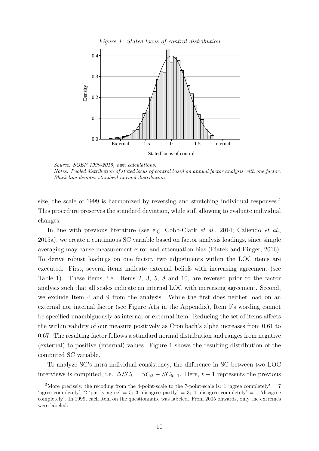Figure 1: Stated locus of control distribution

<span id="page-11-1"></span>

Source: SOEP 1999-2015, own calculations. Notes: Pooled distribution of stated locus of control based on annual factor analysis with one factor. Black line denotes standard normal distribution.

size, the scale of 1999 is harmonized by reversing and stretching individual responses.<sup>[5](#page-11-0)</sup> This procedure preserves the standard deviation, while still allowing to evaluate individual changes.

In line with previous literature (see e.g. [Cobb-Clark](#page-29-11) *et al.*, [2014;](#page-29-11) [Caliendo](#page-29-10) *et al.*, [2015a\)](#page-29-10), we create a continuous SC variable based on factor analysis loadings, since simple averaging may cause measurement error and attenuation bias [\(Piatek and Pinger, 2016\)](#page-31-17). To derive robust loadings on one factor, two adjustments within the LOC items are executed. First, several items indicate external beliefs with increasing agreement (see Table [1\)](#page-9-0). These items, i.e. Items 2, 3, 5, 8 and 10, are reversed prior to the factor analysis such that all scales indicate an internal LOC with increasing agreement. Second, we exclude Item 4 and 9 from the analysis. While the first does neither load on an external nor internal factor (see Figure [A1a](#page-33-0) in the Appendix), Item 9's wording cannot be specified unambiguously as internal or external item. Reducing the set of items affects the within validity of our measure positively as Crombach's alpha increases from 0.61 to 0.67. The resulting factor follows a standard normal distribution and ranges from negative (external) to positive (internal) values. Figure [1](#page-11-1) shows the resulting distribution of the computed SC variable.

To analyze SC's intra-individual consistency, the difference in SC between two LOC interviews is computed, i.e.  $\Delta SC_i = SC_{it} - SC_{it-1}$ . Here,  $t - 1$  represents the previous

<span id="page-11-0"></span><sup>&</sup>lt;sup>5</sup>More precisely, the recoding from the 4-point-scale to the 7-point-scale is: 1 'agree completely' = 7 'agree completely'; 2 'partly agree' = 5; 3 'disagree partly' = 3; 4 'disagree completely' = 1 'disagree completely'. In 1999, each item on the questionnaire was labeled. From 2005 onwards, only the extremes were labeled.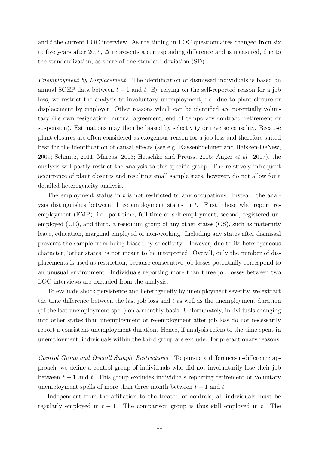and  $t$  the current LOC interview. As the timing in LOC questionnaires changed from six to five years after 2005, ∆ represents a corresponding difference and is measured, due to the standardization, as share of one standard deviation (SD).

Unemployment by Displacement The identification of dismissed individuals is based on annual SOEP data between  $t-1$  and t. By relying on the self-reported reason for a job loss, we restrict the analysis to involuntary unemployment, i.e. due to plant closure or displacement by employer. Other reasons which can be identified are potentially voluntary (i.e own resignation, mutual agreement, end of temporary contract, retirement or suspension). Estimations may then be biased by selectivity or reverse causality. Because plant closures are often considered as exogenous reason for a job loss and therefore suited best for the identification of causal effects (see e.g. [Kassenboehmer and Haisken-DeNew,](#page-30-18) [2009;](#page-30-18) [Schmitz, 2011;](#page-31-16) [Marcus, 2013;](#page-31-18) [Hetschko and Preuss, 2015;](#page-30-14) [Anger](#page-29-17) et al., [2017\)](#page-29-17), the analysis will partly restrict the analysis to this specific group. The relatively infrequent occurrence of plant closures and resulting small sample sizes, however, do not allow for a detailed heterogeneity analysis.

The employment status in  $t$  is not restricted to any occupations. Instead, the analysis distinguishes between three employment states in  $t$ . First, those who report reemployment (EMP), i.e. part-time, full-time or self-employment, second, registered unemployed (UE), and third, a residuum group of any other states (OS), such as maternity leave, education, marginal employed or non-working. Including any states after dismissal prevents the sample from being biased by selectivity. However, due to its heterogeneous character, 'other states' is not meant to be interpreted. Overall, only the number of displacements is used as restriction, because consecutive job losses potentially correspond to an unusual environment. Individuals reporting more than three job losses between two LOC interviews are excluded from the analysis.

To evaluate shock persistence and heterogeneity by unemployment severity, we extract the time difference between the last job loss and  $t$  as well as the unemployment duration (of the last unemployment spell) on a monthly basis. Unfortunately, individuals changing into other states than unemployment or re-employment after job loss do not necessarily report a consistent unemployment duration. Hence, if analysis refers to the time spent in unemployment, individuals within the third group are excluded for precautionary reasons.

Control Group and Overall Sample Restrictions To pursue a difference-in-difference approach, we define a control group of individuals who did not involuntarily lose their job between  $t - 1$  and t. This group excludes individuals reporting retirement or voluntary unemployment spells of more than three month between  $t - 1$  and t.

Independent from the affiliation to the treated or controls, all individuals must be regularly employed in  $t - 1$ . The comparison group is thus still employed in t. The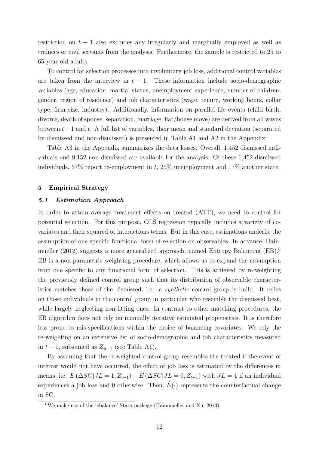restriction on  $t - 1$  also excludes any irregularly and marginally employed as well as trainees or civil servants from the analysis. Furthermore, the sample is restricted to 25 to 65 year old adults.

To control for selection processes into involuntary job loss, additional control variables are taken from the interview in  $t - 1$ . These information include socio-demographic variables (age, education, martial status, unemployment experience, number of children, gender, region of residence) and job characteristics (wage, tenure, working hours, collar type, firm size, industry). Additionally, information on parallel life events (child birth, divorce, death of spouse, separation, marriage, flat/house move) are derived from all waves between t−1 and t. A full list of variables, their mean and standard deviation (separated by dismissed and non-dismissed) is presented in Table [A1](#page-34-0) and [A2](#page-35-0) in the Appendix.

Table [A3](#page-35-1) in the Appendix summarizes the data losses. Overall, 1,452 dismissed individuals and 9,152 non-dismissed are available for the analysis. Of these 1,452 dismissed individuals, 57% report re-employment in t, 25% unemployment and 17% another state.

#### <span id="page-13-0"></span>5 Empirical Strategy

#### 5.1 Estimation Approach

In order to attain average treatment effects on treated (ATT), we need to control for potential selection. For this purpose, OLS regression typically includes a variety of covariates and their squared or interactions terms. But in this case, estimations underlie the assumption of one specific functional form of selection on observables. In advance, [Hain](#page-30-5)[mueller](#page-30-5) [\(2012\)](#page-30-5) suggests a more generalized approach, named Entropy Balancing (EB).[6](#page-13-1) EB is a non-parametric weighting procedure, which allows us to expand the assumption from one specific to any functional form of selection. This is achieved by re-weighting the previously defined control group such that its distribution of observable characteristics matches those of the dismissed, i.e. a synthetic control group is build. It relies on those individuals in the control group in particular who resemble the dismissed best, while largely neglecting non-fitting ones. In contrast to other matching procedures, the EB algorithm does not rely on manually iterative estimated propensities. It is therefore less prone to mis-specifications within the choice of balancing covariates. We rely the re-weighting on an extensive list of socio-demographic and job characteristics measured in  $t-1$ , subsumed as  $Z_{it-1}$  (see Table [A1\)](#page-34-0).

By assuming that the re-weighted control group resembles the treated if the event of interest would not have occurred, the effect of job loss is estimated by the differences in means, i.e.  $E(\Delta SC|JL = 1, Z_{t-1}) - \widehat{E}(\Delta SC|JL = 0, Z_{t-1})$  with  $JL = 1$  if an individual experiences a job loss and 0 otherwise. Then,  $\hat{E}(\cdot)$  represents the counterfactual change in SC.

<span id="page-13-1"></span><sup>6</sup>We make use of the 'ebalance' Stata package [\(Hainmueller and Xu, 2013\)](#page-30-19).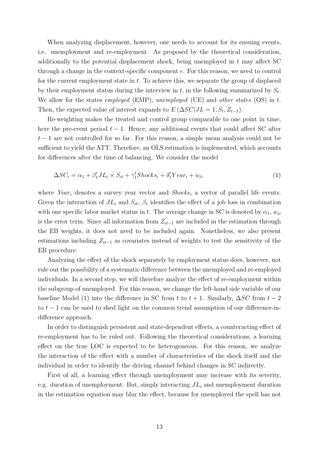When analyzing displacement, however, one needs to account for its ensuing events, i.e. unemployment and re-employment. As proposed by the theoretical consideration, additionally to the potential displacement shock, being unemployed in  $t$  may affect SC through a change in the context-specific component  $\epsilon$ . For this reason, we need to control for the current employment state in  $t$ . To achieve this, we separate the group of displaced by their employment status during the interview in t, in the following summarized by  $S_t$ . We allow for the states employed (EMP), unemployed (UE) and other states (OS) in t. Then, the expected value of interest expands to  $E(\Delta SC|JL=1, S_t, Z_{t-1})$ .

Re-weighting makes the treated and control group comparable to one point in time, here the pre-event period  $t - 1$ . Hence, any additional events that could affect SC after  $t-1$  are not controlled for so far. For this reason, a simple mean analysis could not be sufficient to yield the ATT. Therefore, an OLS estimation is implemented, which accounts for differences after the time of balancing. We consider the model

<span id="page-14-0"></span>
$$
\Delta SC_i = \alpha_1 + \beta_1' J L_i \times S_{it} + \gamma_1' Shocks_i + \delta_1' Year_i + u_{1i}
$$
\n
$$
\tag{1}
$$

where Year<sub>i</sub> denotes a survey year vector and  $Shocks_i$  a vector of parallel life events. Given the interaction of  $J_{i}$  and  $S_{i}$ ,  $\beta_{1}$  identifies the effect of a job loss in combination with one specific labor market status in t. The average change in SC is denoted by  $\alpha_1$ ,  $u_{1i}$ is the error term. Since all information from  $Z_{it-1}$  are included in the estimation through the EB weights, it does not need to be included again. Nonetheless, we also present estimations including  $Z_{it-1}$  as covariates instead of weights to test the sensitivity of the EB procedure.

Analyzing the effect of the shock separately by employment status does, however, not rule out the possibility of a systematic difference between the unemployed and re-employed individuals. In a second step, we will therefore analyze the effect of re-employment within the subgroup of unemployed. For this reason, we change the left-hand side variable of our baseline Model [\(1\)](#page-14-0) into the difference in SC from t to  $t + 1$ . Similarly,  $\Delta SC$  from  $t - 2$ to  $t - 1$  can be used to shed light on the common trend assumption of our difference-indifference approach.

In order to distinguish persistent and state-dependent effects, a counteracting effect of re-employment has to be ruled out. Following the theoretical considerations, a learning effect on the true LOC is expected to be heterogeneous. For this reason, we analyze the interaction of the effect with a number of characteristics of the shock itself and the individual in order to identify the driving channel behind changes in SC indirectly.

First of all, a learning effect through unemployment may increase with its severity, e.g. duration of unemployment. But, simply interacting  $J_{i}$  and unemployment duration in the estimation equation may blur the effect, because for unemployed the spell has not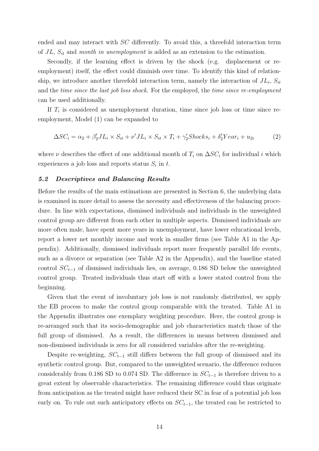ended and may interact with SC differently. To avoid this, a threefold interaction term of  $JL$ ,  $S_{it}$  and month in unemployment is added as an extension to the estimation.

Secondly, if the learning effect is driven by the shock (e.g. displacement or reemployment) itself, the effect could diminish over time. To identify this kind of relationship, we introduce another threefold interaction term, namely the interaction of  $J_{i}$ ,  $S_{it}$ and the *time since the last job loss shock*. For the employed, the *time since re-employment* can be used additionally.

If  $T_i$  is considered as unemployment duration, time since job loss or time since reemployment, Model [\(1\)](#page-14-0) can be expanded to

<span id="page-15-0"></span>
$$
\Delta SC_i = \alpha_2 + \beta_2' J L_i \times S_{it} + \nu' J L_i \times S_{it} \times T_i + \gamma_2' Shocks_i + \delta_2' Year_i + u_{2i}
$$
 (2)

where  $\nu$  describes the effect of one additional month of  $T_i$  on  $\Delta SC_i$  for individual i which experiences a job loss and reports status  $S_i$  in t.

#### 5.2 Descriptives and Balancing Results

Before the results of the main estimations are presented in Section [6,](#page-16-0) the underlying data is examined in more detail to assess the necessity and effectiveness of the balancing procedure. In line with expectations, dismissed individuals and individuals in the unweighted control group are different from each other in multiple aspects. Dismissed individuals are more often male, have spent more years in unemployment, have lower educational levels, report a lower net monthly income and work in smaller firms (see Table [A1](#page-34-0) in the Appendix). Additionally, dismissed individuals report more frequently parallel life events, such as a divorce or separation (see Table [A2](#page-35-0) in the Appendix), and the baseline stated control  $SC_{t-1}$  of dismissed individuals lies, on average, 0.186 SD below the unweighted control group. Treated individuals thus start off with a lower stated control from the beginning.

Given that the event of involuntary job loss is not randomly distributed, we apply the EB process to make the control group comparable with the treated. Table [A1](#page-34-0) in the Appendix illustrates one exemplary weighting procedure. Here, the control group is re-arranged such that its socio-demographic and job characteristics match those of the full group of dismissed. As a result, the differences in means between dismissed and non-dismissed individuals is zero for all considered variables after the re-weighting.

Despite re-weighting,  $SC_{t-1}$  still differs between the full group of dismissed and its synthetic control group. But, compared to the unweighted scenario, the difference reduces considerably from 0.186 SD to 0.074 SD. The difference in  $SC_{t-1}$  is therefore driven to a great extent by observable characteristics. The remaining difference could thus originate from anticipation as the treated might have reduced their SC in fear of a potential job loss early on. To rule out such anticipatory effects on  $SC_{t-1}$ , the treated can be restricted to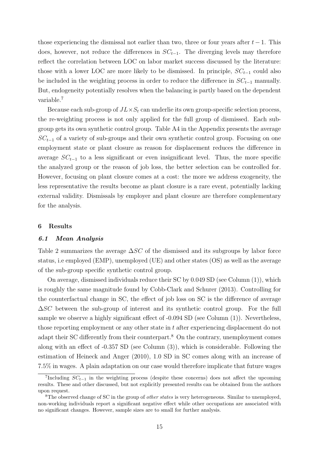those experiencing the dismissal not earlier than two, three or four years after  $t - 1$ . This does, however, not reduce the differences in  $SC_{t-1}$ . The diverging levels may therefore reflect the correlation between LOC on labor market success discussed by the literature: those with a lower LOC are more likely to be dismissed. In principle,  $SC_{t-1}$  could also be included in the weighting process in order to reduce the difference in  $SC_{t-1}$  manually. But, endogeneity potentially resolves when the balancing is partly based on the dependent variable.[7](#page-16-1)

Because each sub-group of  $JL \times S_t$  can underlie its own group-specific selection process, the re-weighting process is not only applied for the full group of dismissed. Each subgroup gets its own synthetic control group. Table [A4](#page-35-2) in the Appendix presents the average  $SC_{t-1}$  of a variety of sub-groups and their own synthetic control group. Focusing on one employment state or plant closure as reason for displacement reduces the difference in average  $SC_{t-1}$  to a less significant or even insignificant level. Thus, the more specific the analyzed group or the reason of job loss, the better selection can be controlled for. However, focusing on plant closure comes at a cost: the more we address exogeneity, the less representative the results become as plant closure is a rare event, potentially lacking external validity. Dismissals by employer and plant closure are therefore complementary for the analysis.

#### <span id="page-16-0"></span>6 Results

#### 6.1 Mean Analysis

Table [2](#page-17-0) summarizes the average  $\Delta SC$  of the dismissed and its subgroups by labor force status, i.e employed (EMP), unemployed (UE) and other states (OS) as well as the average of the sub-group specific synthetic control group.

On average, dismissed individuals reduce their SC by 0.049 SD (see Column (1)), which is roughly the same magnitude found by [Cobb-Clark and Schurer](#page-29-3) [\(2013\)](#page-29-3). Controlling for the counterfactual change in SC, the effect of job loss on SC is the difference of average  $\Delta SC$  between the sub-group of interest and its synthetic control group. For the full sample we observe a highly significant effect of -0.094 SD (see Column (1)). Nevertheless, those reporting employment or any other state in t after experiencing displacement do not adapt their SC differently from their counterpart.<sup>[8](#page-16-2)</sup> On the contrary, unemployment comes along with an effect of -0.357 SD (see Column (3)), which is considerable. Following the estimation of [Heineck and Anger](#page-30-0) [\(2010\)](#page-30-0), 1.0 SD in SC comes along with an increase of 7.5% in wages. A plain adaptation on our case would therefore implicate that future wages

<span id="page-16-1"></span><sup>&</sup>lt;sup>7</sup>Including  $SC_{t-1}$  in the weighting process (despite these concerns) does not affect the upcoming results. These and other discussed, but not explicitly presented results can be obtained from the authors upon request.

<span id="page-16-2"></span><sup>&</sup>lt;sup>8</sup>The observed change of SC in the group of *other states* is very heterogeneous. Similar to unemployed, non-working individuals report a significant negative effect while other occupations are associated with no significant changes. However, sample sizes are to small for further analysis.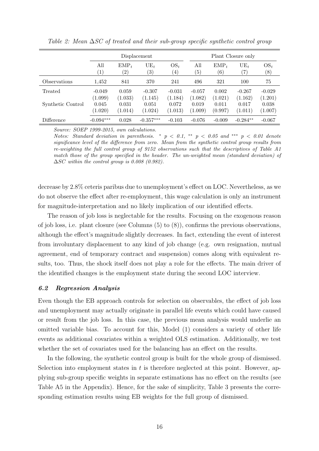|                   |                             | Displacement                 |                             |                             |                             | Plant Closure only          |                             |                             |  |
|-------------------|-----------------------------|------------------------------|-----------------------------|-----------------------------|-----------------------------|-----------------------------|-----------------------------|-----------------------------|--|
|                   | All<br>$\left( 1\right)$    | $EMP_t$<br>$\left( 2\right)$ | $UE_t$<br>$\left( 3\right)$ | $OS_t$<br>$\left(4\right)$  | All<br>$\left( 5\right)$    | $EMP_t$<br>$\left(6\right)$ | $UE_t$<br>$\left( 7\right)$ | $OS_t$<br>$^{(8)}$          |  |
| Observations      | 1,452                       | 841                          | 370                         | 241                         | 496                         | 321                         | 100                         | 75                          |  |
| Treated           | $-0.049$                    | 0.059                        | $-0.307$                    | $-0.031$                    | $-0.057$                    | 0.002                       | $-0.267$                    | $-0.029$                    |  |
| Synthetic Control | (1.099)<br>0.045<br>(1.020) | (1.033)<br>0.031<br>(1.014)  | (1.145)<br>0.051<br>(1.024) | (1.184)<br>0.072<br>(1.013) | (1.082)<br>0.019<br>(1.009) | (1.021)<br>0.011<br>(0.997) | (1.162)<br>0.017<br>(1.011) | (1.201)<br>0.038<br>(1.007) |  |
| Difference        | $-0.094***$                 | 0.028                        | $-0.357***$                 | $-0.103$                    | $-0.076$                    | $-0.009$                    | $-0.284**$                  | $-0.067$                    |  |

<span id="page-17-0"></span>Table 2: Mean ∆SC of treated and their sub-group specific synthetic control group

Notes: Standard deviation in parenthesis. \*  $p < 0.1$ , \*\*  $p < 0.05$  and \*\*\*  $p < 0.01$  denote significance level of the difference from zero. Mean from the synthetic control group results from re-weighting the full control group of 9152 observations such that the descriptives of Table [A1](#page-34-0) match those of the group specified in the header. The un-weighted mean (standard deviation) of  $\Delta SC$  within the control group is 0.008 (0.982).

decrease by 2.8% ceteris paribus due to unemployment's effect on LOC. Nevertheless, as we do not observe the effect after re-employment, this wage calculation is only an instrument for magnitude-interpretation and no likely implication of our identified effects.

The reason of job loss is neglectable for the results. Focusing on the exogenous reason of job loss, i.e. plant closure (see Columns (5) to (8)), confirms the previous observations, although the effect's magnitude slightly decreases. In fact, extending the event of interest from involuntary displacement to any kind of job change (e.g. own resignation, mutual agreement, end of temporary contract and suspension) comes along with equivalent results, too. Thus, the shock itself does not play a role for the effects. The main driver of the identified changes is the employment state during the second LOC interview.

#### 6.2 Regression Analysis

Even though the EB approach controls for selection on observables, the effect of job loss and unemployment may actually originate in parallel life events which could have caused or result from the job loss. In this case, the previous mean analysis would underlie an omitted variable bias. To account for this, Model [\(1\)](#page-14-0) considers a variety of other life events as additional covariates within a weighted OLS estimation. Additionally, we test whether the set of covariates used for the balancing has an effect on the results.

In the following, the synthetic control group is built for the whole group of dismissed. Selection into employment states in  $t$  is therefore neglected at this point. However, applying sub-group specific weights in separate estimations has no effect on the results (see Table [A5](#page-36-0) in the Appendix). Hence, for the sake of simplicity, Table [3](#page-18-0) presents the corresponding estimation results using EB weights for the full group of dismissed.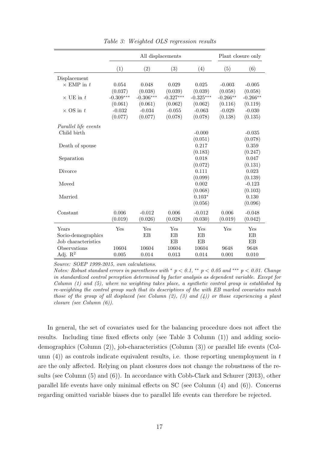<span id="page-18-0"></span>

|                      |             | All displacements |             | Plant closure only |            |            |
|----------------------|-------------|-------------------|-------------|--------------------|------------|------------|
|                      | (1)         | (2)               | (3)         | (4)                | (5)        | (6)        |
| Displacement         |             |                   |             |                    |            |            |
| $\times$ EMP in t    | 0.054       | 0.048             | 0.029       | 0.025              | $-0.003$   | $-0.005$   |
|                      | (0.037)     | (0.038)           | (0.039)     | (0.039)            | (0.058)    | (0.058)    |
| $\times$ UE in t     | $-0.309***$ | $-0.306***$       | $-0.327***$ | $-0.325***$        | $-0.266**$ | $-0.266**$ |
|                      | (0.061)     | (0.061)           | (0.062)     | (0.062)            | (0.116)    | (0.119)    |
| $\times$ OS in $t$   | $-0.032$    | $-0.034$          | $-0.055$    | $-0.063$           | $-0.029$   | $-0.030$   |
|                      | (0.077)     | (0.077)           | (0.078)     | (0.078)            | (0.138)    | (0.135)    |
| Parallel life events |             |                   |             |                    |            |            |
| Child birth          |             |                   |             | $-0.000$           |            | $-0.035$   |
|                      |             |                   |             | (0.051)            |            | (0.078)    |
| Death of spouse      |             |                   |             | 0.217              |            | 0.359      |
|                      |             |                   |             | (0.183)            |            | (0.247)    |
| Separation           |             |                   |             | 0.018              |            | 0.047      |
|                      |             |                   |             | (0.072)            |            | (0.131)    |
| Divorce              |             |                   |             | 0.111              |            | 0.023      |
|                      |             |                   |             | (0.099)            |            | (0.139)    |
| Moved                |             |                   |             | 0.002              |            | $-0.123$   |
|                      |             |                   |             | (0.068)            |            | (0.103)    |
| Married              |             |                   |             | $0.103*$           |            | 0.130      |
|                      |             |                   |             | (0.056)            |            | (0.096)    |
| Constant             | 0.006       | $-0.012$          | 0.006       | $-0.012$           | 0.006      | $-0.048$   |
|                      | (0.019)     | (0.026)           | (0.028)     | (0.030)            | (0.019)    | (0.042)    |
|                      |             |                   |             |                    |            |            |
| Years                | Yes         | Yes               | Yes         | Yes                | Yes        | Yes        |
| Socio-demographics   |             | EB                | EB          | EB                 |            | EB         |
| Job characteristics  |             |                   | EB          | EB                 |            | EB         |
| Observations         | 10604       | 10604             | 10604       | 10604              | 9648       | 9648       |
| Adj. $\mathbb{R}^2$  | 0.005       | 0.014             | 0.013       | 0.014              | 0.001      | 0.010      |

Table 3: Weighted OLS regression results

Notes: Robust standard errors in parentheses with  $p < 0.1$ , \*\*  $p < 0.05$  and \*\*\*  $p < 0.01$ . Change in standardized control perception determined by factor analysis as dependent variable. Except for Column (1) and (5), where no weighting takes place, a synthetic control group is established by re-weighting the control group such that its descriptives of the with EB marked covariates match those of the group of all displaced (see Column  $(2)$ ,  $(3)$  and  $(4)$ ) or those experiencing a plant closure (see Column (6)).

In general, the set of covariates used for the balancing procedure does not affect the results. Including time fixed effects only (see Table [3](#page-18-0) Column (1)) and adding sociodemographics (Column (2)), job-characteristics (Column (3)) or parallel life events (Column  $(4)$ ) as controls indicate equivalent results, i.e. those reporting unemployment in t are the only affected. Relying on plant closures does not change the robustness of the results (see Column (5) and (6)). In accordance with [Cobb-Clark and Schurer](#page-29-3) [\(2013\)](#page-29-3), other parallel life events have only minimal effects on SC (see Column (4) and (6)). Concerns regarding omitted variable biases due to parallel life events can therefore be rejected.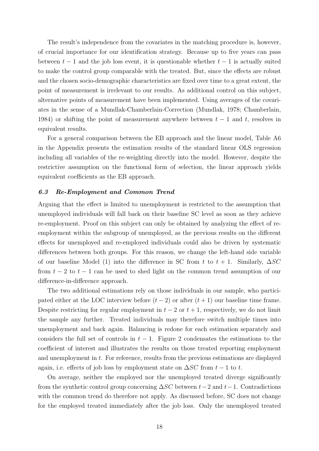The result's independence from the covariates in the matching procedure is, however, of crucial importance for our identification strategy. Because up to five years can pass between  $t-1$  and the job loss event, it is questionable whether  $t-1$  is actually suited to make the control group comparable with the treated. But, since the effects are robust and the chosen socio-demographic characteristics are fixed over time to a great extent, the point of measurement is irrelevant to our results. As additional control on this subject, alternative points of measurement have been implemented. Using averages of the covariates in the sense of a Mundlak-Chamberlain-Correction [\(Mundlak, 1978;](#page-31-19) [Chamberlain,](#page-29-21) [1984\)](#page-29-21) or shifting the point of measurement anywhere between  $t-1$  and t, resolves in equivalent results.

For a general comparison between the EB approach and the linear model, Table [A6](#page-37-0) in the Appendix presents the estimation results of the standard linear OLS regression including all variables of the re-weighting directly into the model. However, despite the restrictive assumption on the functional form of selection, the linear approach yields equivalent coefficients as the EB approach.

#### 6.3 Re-Employment and Common Trend

Arguing that the effect is limited to unemployment is restricted to the assumption that unemployed individuals will fall back on their baseline SC level as soon as they achieve re-employment. Proof on this subject can only be obtained by analyzing the effect of reemployment within the subgroup of unemployed, as the previous results on the different effects for unemployed and re-employed individuals could also be driven by systematic differences between both groups. For this reason, we change the left-hand side variable of our baseline Model [\(1\)](#page-14-0) into the difference in SC from t to  $t + 1$ . Similarly,  $\Delta SC$ from  $t - 2$  to  $t - 1$  can be used to shed light on the common trend assumption of our difference-in-difference approach.

The two additional estimations rely on those individuals in our sample, who participated either at the LOC interview before  $(t-2)$  or after  $(t+1)$  our baseline time frame. Despite restricting for regular employment in  $t-2$  or  $t+1$ , respectively, we do not limit the sample any further. Treated individuals may therefore switch multiple times into unemployment and back again. Balancing is redone for each estimation separately and considers the full set of controls in  $t - 1$ . Figure [2](#page-20-0) condensates the estimations to the coefficient of interest and illustrates the results on those treated reporting employment and unemployment in t. For reference, results from the previous estimations are displayed again, i.e. effects of job loss by employment state on  $\Delta SC$  from  $t - 1$  to t.

On average, neither the employed nor the unemployed treated diverge significantly from the synthetic control group concerning  $\Delta SC$  between  $t-2$  and  $t-1$ . Contradictions with the common trend do therefore not apply. As discussed before, SC does not change for the employed treated immediately after the job loss. Only the unemployed treated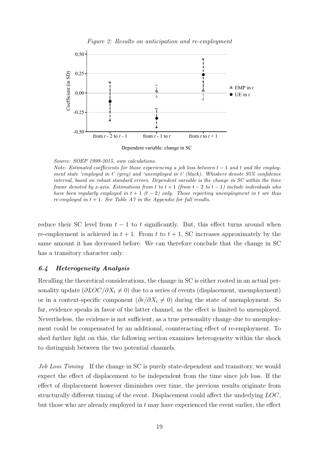<span id="page-20-0"></span>

Figure 2: Results on anticipation and re-employment

Dependent variable: change in SC

Source: SOEP 1999-2015, own calculations.

Note: Estimated coefficients for those experiencing a job loss between  $t - 1$  and  $t$  and the employment state 'employed in t' (grey) and 'unemployed in t' (black). Whiskers denote 95% confidence interval, based on robust standard errors. Dependent variable is the change in SC within the time frame denoted by x-axis. Estimations from t to  $t + 1$  (from  $t - 2$  to  $t - 1$ ) include individuals who have been regularly employed in  $t + 1$  (t - 2) only. Those reporting unemployment in t are thus re-employed in  $t + 1$ . See Table [A7](#page-38-0) in the Appendix for full results.

reduce their SC level from  $t - 1$  to t significantly. But, this effect turns around when re-employment is achieved in  $t + 1$ . From t to  $t + 1$ , SC increases approximately by the same amount it has decreased before. We can therefore conclude that the change in SC has a transitory character only.

### 6.4 Heterogeneity Analysis

Recalling the theoretical considerations, the change in SC is either rooted in an actual personality update  $(\partial LOC/\partial X_t \neq 0)$  due to a series of events (displacement, unemployment) or in a context-specific component  $(\partial \epsilon/\partial X_t \neq 0)$  during the state of unemployment. So far, evidence speaks in favor of the latter channel, as the effect is limited to unemployed. Nevertheless, the evidence is not sufficient, as a true personality change due to unemployment could be compensated by an additional, counteracting effect of re-employment. To shed further light on this, the following section examines heterogeneity within the shock to distinguish between the two potential channels.

Job Loss Timing If the change in SC is purely state-dependent and transitory, we would expect the effect of displacement to be independent from the time since job loss. If the effect of displacement however diminishes over time, the previous results originate from structurally different timing of the event. Displacement could affect the underlying LOC, but those who are already employed in  $t$  may have experienced the event earlier, the effect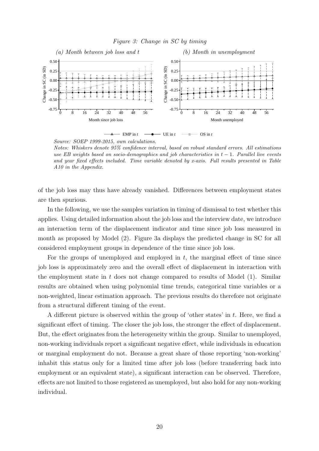#### Figure 3: Change in SC by timing

<span id="page-21-0"></span>

Source: SOEP 1999-2015, own calculations.

Notes: Whiskers denote 95% confidence interval, based on robust standard errors. All estimations use EB weights based on socio-demographics and job characteristics in  $t - 1$ . Parallel live events and year fixed effects included. Time variable denoted by x-axis. Full results presented in Table [A10](#page-41-0) in the Appendix.

of the job loss may thus have already vanished. Differences between employment states are then spurious.

In the following, we use the samples variation in timing of dismissal to test whether this applies. Using detailed information about the job loss and the interview date, we introduce an interaction term of the displacement indicator and time since job loss measured in month as proposed by Model [\(2\)](#page-15-0). Figure [3a](#page-21-0) displays the predicted change in SC for all considered employment groups in dependence of the time since job loss.

For the groups of unemployed and employed in  $t$ , the marginal effect of time since job loss is approximately zero and the overall effect of displacement in interaction with the employment state in  $t$  does not change compared to results of Model  $(1)$ . Similar results are obtained when using polynomial time trends, categorical time variables or a non-weighted, linear estimation approach. The previous results do therefore not originate from a structural different timing of the event.

A different picture is observed within the group of 'other states' in  $t$ . Here, we find a significant effect of timing. The closer the job loss, the stronger the effect of displacement. But, the effect originates from the heterogeneity within the group. Similar to unemployed, non-working individuals report a significant negative effect, while individuals in education or marginal employment do not. Because a great share of those reporting 'non-working' inhabit this status only for a limited time after job loss (before transferring back into employment or an equivalent state), a significant interaction can be observed. Therefore, effects are not limited to those registered as unemployed, but also hold for any non-working individual.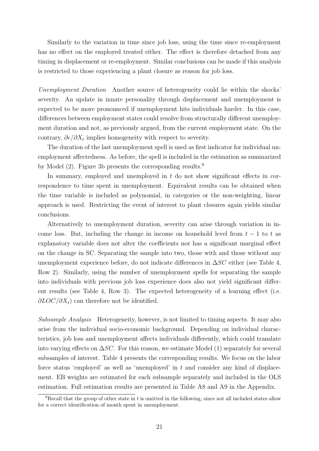Similarly to the variation in time since job loss, using the time since re-employment has no effect on the employed treated either. The effect is therefore detached from any timing in displacement or re-employment. Similar conclusions can be made if this analysis is restricted to those experiencing a plant closure as reason for job loss.

Unemployment Duration Another source of heterogeneity could lie within the shocks' severity. An update in innate personality through displacement and unemployment is expected to be more pronounced if unemployment hits individuals harder. In this case, differences between employment states could resolve from structurally different unemployment duration and not, as previously argued, from the current employment state. On the contrary,  $\partial \epsilon / \partial X_t$  implies homogeneity with respect to severity.

The duration of the last unemployment spell is used as first indicator for individual unemployment affectedness. As before, the spell is included in the estimation as summarized by Model [\(2\)](#page-15-0). Figure [3b](#page-21-0) presents the corresponding results.<sup>[9](#page-22-0)</sup>

In summary, employed and unemployed in  $t$  do not show significant effects in correspondence to time spent in unemployment. Equivalent results can be obtained when the time variable is included as polynomial, in categories or the non-weighting, linear approach is used. Restricting the event of interest to plant closures again yields similar conclusions.

Alternatively to unemployment duration, severity can arise through variation in income loss. But, including the change in income on household level from  $t - 1$  to t as explanatory variable does not alter the coefficients nor has a significant marginal effect on the change in SC. Separating the sample into two, those with and those without any unemployment experience before, do not indicate differences in  $\Delta SC$  either (see Table [4,](#page-23-0) Row 2). Similarly, using the number of unemployment spells for separating the sample into individuals with previous job loss experience does also not yield significant different results (see Table [4,](#page-23-0) Row 3). The expected heterogeneity of a learning effect (i.e.  $\partial LOC/\partial X_t$ ) can therefore not be identified.

Subsample Analysis Heterogeneity, however, is not limited to timing aspects. It may also arise from the individual socio-economic background. Depending on individual characteristics, job loss and unemployment affects individuals differently, which could translate into varying effects on  $\Delta SC$ . For this reason, we estimate Model [\(1\)](#page-14-0) separately for several subsamples of interest. Table [4](#page-23-0) presents the corresponding results. We focus on the labor force status 'employed' as well as 'unemployed' in  $t$  and consider any kind of displacement. EB weights are estimated for each subsample separately and included in the OLS estimation. Full estimation results are presented in Table [A8](#page-39-0) and [A9](#page-40-0) in the Appendix.

<span id="page-22-0"></span><sup>&</sup>lt;sup>9</sup>Recall that the group of other state in t is omitted in the following, since not all included states allow for a correct identification of month spent in unemployment.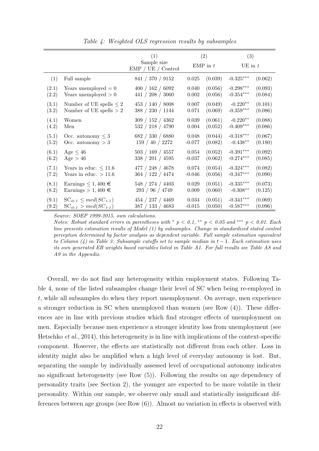<span id="page-23-0"></span>

|       |                                | (1)<br>Sample size | (2)<br>EMP in $t$ |         | (3)<br>$UE$ in $t$ |         |
|-------|--------------------------------|--------------------|-------------------|---------|--------------------|---------|
|       |                                | EMP / UE / Control |                   |         |                    |         |
| (1)   | Full sample                    | 841 / 370 / 9152   | 0.025             | (0.039) | $-0.325***$        | (0.062) |
| (2.1) | Years unemployed $= 0$         | 400 / 162 / 6092   | 0.040             | (0.056) | $-0.298***$        | (0.093) |
| (2.2) | Years unemployed $> 0$         | 441 / 208 / 3060   | 0.002             | (0.056) | $-0.354***$        | (0.084) |
| (3.1) | Number of UE spells $\leq 2$   | 453 / 140 / 8008   | 0.007             | (0.049) | $-0.220**$         | (0.101) |
| (3.2) | Number of UE spells $> 2$      | 388 / 230 / 1144   | 0.071             | (0.069) | $-0.359***$        | (0.086) |
| (4.1) | Women                          | 309 / 152 / 4362   | $\,0.039\,$       | (0.061) | $-0.220**$         | (0.088) |
| (4.2) | Men                            | 532 / 218 / 4790   | 0.004             | (0.052) | $-0.409***$        | (0.086) |
| (5.1) | Occ. autonomy $\leq 3$         | 682 / 330 / 6880   | 0.048             | (0.044) | $-0.318***$        | (0.067) |
| (5.2) | Occ. autonomy $> 3$            | 159 / 40 / 2272    | $-0.077$          | (0.082) | $-0.438**$         | (0.180) |
| (6.1) | Age $\leq 46$                  | 503 / 169 / 4557   | 0.054             | (0.052) | $-0.391***$        | (0.092) |
| (6.2) | Age > 46                       | 338 / 201 / 4595   | $-0.037$          | (0.062) | $-0.274***$        | (0.085) |
| (7.1) | Years in educ. $\leq 11.6$     | 477 / 248 / 4678   | 0.074             | (0.054) | $-0.324***$        | (0.082) |
| (7.2) | Years in educ. $> 11.6$        | 364 / 122 / 4474   | $-0.046$          | (0.056) | $-0.347***$        | (0.090) |
| (8.1) | Earnings $\leq 1,400 \in$      | 548 / 274 / 4403   | 0.029             | (0.051) | $-0.335***$        | (0.073) |
| (8.2) | Earnings $> 1,400 \in$         | 293 / 96 / 4749    | 0.009             | (0.060) | $-0.308**$         | (0.125) |
| (9.1) | $SC_{it-1} \leq med(SC_{t-1})$ | 454 / 237 / 4469   | $0.034\,$         | (0.051) | $-0.341***$        | (0.069) |
| (9.2) | $SC_{it-1} > med(SC_{t-1})$    | 387 / 133 / 4683   | $-0.015$          | (0.050) | $-0.587***$        | (0.096) |

Table 4: Weighted OLS regression results by subsamples

Notes: Robust standard errors in parentheses with  $p < 0.1$ , \*\*  $p < 0.05$  and \*\*\*  $p < 0.01$ . Each line presents estimation results of Model [\(1\)](#page-14-0) by subsamples. Change in standardized stated control perception determined by factor analysis as dependent variable. Full sample estimation equivalent to Column (4) in Table [3.](#page-18-0) Subsample cutoffs set to sample median in  $t-1$ . Each estimation uses its own generated EB weights based variables listed in Table [A1.](#page-34-0) For full results see Table [A8](#page-39-0) and [A9](#page-40-0) in the Appendix.

Overall, we do not find any heterogeneity within employment states. Following Table [4,](#page-23-0) none of the listed subsamples change their level of SC when being re-employed in t, while all subsamples do when they report unemployment. On average, men experience a stronger reduction in SC when unemployed than women (see Row (4)). These differences are in line with previous studies which find stronger effects of unemployment on men. Especially because men experience a stronger identity loss from unemployment (see [Hetschko](#page-30-15) et al., [2014\)](#page-30-15), this heterogeneity is in line with implications of the context-specific component. However, the effects are statistically not different from each other. Loss in identity might also be amplified when a high level of everyday autonomy is lost. But, separating the sample by individually assessed level of occupational autonomy indicates no significant heterogeneity (see Row (5)). Following the results on age dependency of personality traits (see Section [2\)](#page-5-0), the younger are expected to be more volatile in their personality. Within our sample, we observe only small and statistically insignificant differences between age groups (see Row (6)). Almost no variation in effects is observed with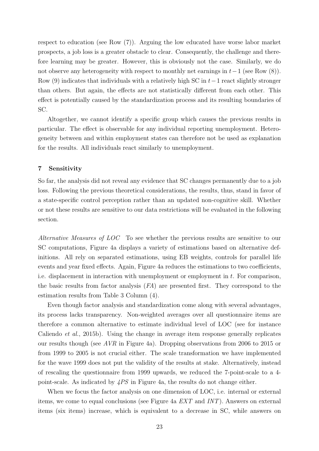respect to education (see Row (7)). Arguing the low educated have worse labor market prospects, a job loss is a greater obstacle to clear. Consequently, the challenge and therefore learning may be greater. However, this is obviously not the case. Similarly, we do not observe any heterogeneity with respect to monthly net earnings in  $t-1$  (see Row (8)). Row (9) indicates that individuals with a relatively high SC in  $t-1$  react slightly stronger than others. But again, the effects are not statistically different from each other. This effect is potentially caused by the standardization process and its resulting boundaries of SC.

Altogether, we cannot identify a specific group which causes the previous results in particular. The effect is observable for any individual reporting unemployment. Heterogeneity between and within employment states can therefore not be used as explanation for the results. All individuals react similarly to unemployment.

#### <span id="page-24-0"></span>7 Sensitivity

So far, the analysis did not reveal any evidence that SC changes permanently due to a job loss. Following the previous theoretical considerations, the results, thus, stand in favor of a state-specific control perception rather than an updated non-cognitive skill. Whether or not these results are sensitive to our data restrictions will be evaluated in the following section.

Alternative Measures of LOC To see whether the previous results are sensitive to our SC computations, Figure [4a](#page-25-0) displays a variety of estimations based on alternative definitions. All rely on separated estimations, using EB weights, controls for parallel life events and year fixed effects. Again, Figure [4a](#page-25-0) reduces the estimations to two coefficients, i.e. displacement in interaction with unemployment or employment in t. For comparison, the basic results from factor analysis  $(FA)$  are presented first. They correspond to the estimation results from Table [3](#page-18-0) Column (4).

Even though factor analysis and standardization come along with several advantages, its process lacks transparency. Non-weighted averages over all questionnaire items are therefore a common alternative to estimate individual level of LOC (see for instance [Caliendo](#page-29-0) *et al.*, [2015b\)](#page-29-0). Using the change in average item response generally replicates our results though (see AVR in Figure [4a\)](#page-25-0). Dropping observations from 2006 to 2015 or from 1999 to 2005 is not crucial either. The scale transformation we have implemented for the wave 1999 does not put the validity of the results at stake. Alternatively, instead of rescaling the questionnaire from 1999 upwards, we reduced the 7-point-scale to a 4 point-scale. As indicated by  $4PS$  in Figure [4a,](#page-25-0) the results do not change either.

When we focus the factor analysis on one dimension of LOC, i.e. internal or external items, we come to equal conclusions (see Figure [4a](#page-25-0) EXT and INT). Answers on external items (six items) increase, which is equivalent to a decrease in SC, while answers on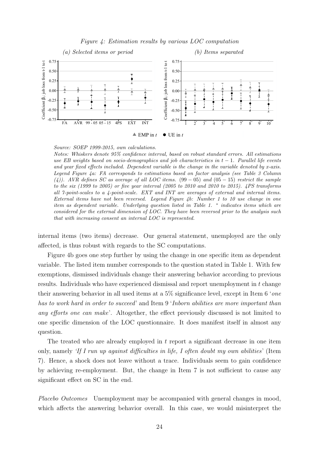<span id="page-25-0"></span>

#### Figure 4: Estimation results by various LOC computation

Source: SOEP 1999-2015, own calculations.

Notes: Whiskers denote 95% confidence interval, based on robust standard errors. All estimations use EB weights based on socio-demographics and job characteristics in  $t - 1$ . Parallel life events and year fixed effects included. Dependent variable is the change in the variable denoted by x-axis. Legend Figure [4a:](#page-25-0) FA corresponds to estimations based on factor analysis (see Table [3](#page-18-0) Column (4)). AVR defines SC as average of all LOC items.  $(99-05)$  and  $(05-15)$  restrict the sample to the six (1999 to 2005) or five year interval (2005 to 2010 and 2010 to 2015). 4PS transforms all 7-point-scales to a 4-point-scale. EXT and INT are averages of external and internal items. External items have not been reversed. Legend Figure  $4b$ : Number 1 to 10 use change in one item as dependent variable. Underlying question listed in Table [1.](#page-9-0) <sup>\*</sup> indicates items which are considered for the external dimension of LOC. They have been reversed prior to the analysis such that with increasing consent an internal LOC is represented.

internal items (two items) decrease. Our general statement, unemployed are the only affected, is thus robust with regards to the SC computations.

Figure [4b](#page-25-0) goes one step further by using the change in one specific item as dependent variable. The listed item number corresponds to the question stated in Table [1.](#page-9-0) With few exemptions, dismissed individuals change their answering behavior according to previous results. Individuals who have experienced dismissal and report unemployment in t change their answering behavior in all used items at a 5% significance level, except in Item 6 'one has to work hard in order to succeed' and Item 9 'Inborn abilities are more important than any efforts one can make'. Altogether, the effect previously discussed is not limited to one specific dimension of the LOC questionnaire. It does manifest itself in almost any question.

The treated who are already employed in  $t$  report a significant decrease in one item only, namely 'If I run up against difficulties in life, I often doubt my own abilities' (Item 7). Hence, a shock does not leave without a trace. Individuals seem to gain confidence by achieving re-employment. But, the change in Item 7 is not sufficient to cause any significant effect on SC in the end.

Placebo Outcomes Unemployment may be accompanied with general changes in mood, which affects the answering behavior overall. In this case, we would misinterpret the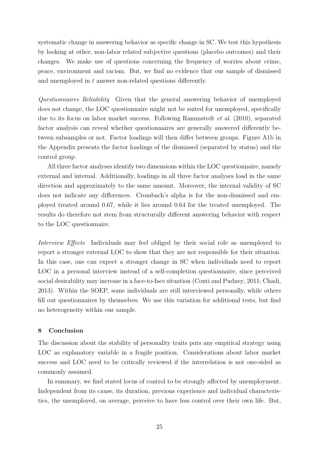systematic change in answering behavior as specific change in SC. We test this hypothesis by looking at other, non-labor related subjective questions (placebo outcomes) and their changes. We make use of questions concerning the frequency of worries about crime, peace, environment and racism. But, we find no evidence that our sample of dismissed and unemployed in t answer non-related questions differently.

Questionnaires Reliability Given that the general answering behavior of unemployed does not change, the LOC questionnaire might not be suited for unemployed, specifically due to its focus on labor market success. Following [Rammstedt](#page-31-6) et al. [\(2010\)](#page-31-6), separated factor analysis can reveal whether questionnaires are generally answered differently between subsamples or not. Factor loadings will then differ between groups. Figure [A1b](#page-33-0) in the Appendix presents the factor loadings of the dismissed (separated by status) and the control group.

All three factor analyses identify two dimensions within the LOC questionnaire, namely external and internal. Additionally, loadings in all three factor analyses load in the same direction and approximately to the same amount. Moreover, the internal validity of SC does not indicate any differences. Crombach's alpha is for the non-dismissed and employed treated around 0.67, while it lies around 0.64 for the treated unemployed. The results do therefore not stem from structurally different answering behavior with respect to the LOC questionnaire.

Interview Effects Individuals may feel obliged by their social role as unemployed to report a stronger external LOC to show that they are not responsible for their situation. In this case, one can expect a stronger change in SC when individuals need to report LOC in a personal interview instead of a self-completion questionnaire, since perceived social desirability may increase in a face-to-face situation [\(Conti and Pudney, 2011;](#page-30-20) [Chadi,](#page-29-22) [2013\)](#page-29-22). Within the SOEP, some individuals are still interviewed personally, while others fill out questionnaires by themselves. We use this variation for additional tests, but find no heterogeneity within our sample.

#### <span id="page-26-0"></span>8 Conclusion

The discussion about the stability of personality traits puts any empirical strategy using LOC as explanatory variable in a fragile position. Considerations about labor market success and LOC need to be critically reviewed if the interrelation is not one-sided as commonly assumed.

In summary, we find stated locus of control to be strongly affected by unemployment. Independent from its cause, its duration, previous experience and individual characteristics, the unemployed, on average, perceive to have less control over their own life. But,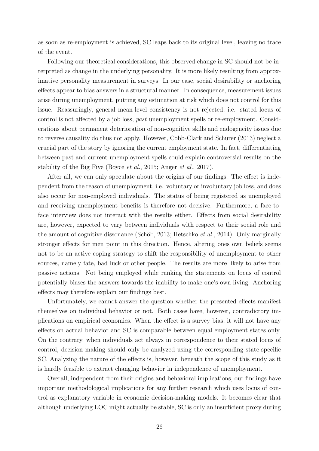as soon as re-employment is achieved, SC leaps back to its original level, leaving no trace of the event.

Following our theoretical considerations, this observed change in SC should not be interpreted as change in the underlying personality. It is more likely resulting from approximative personality measurement in surveys. In our case, social desirability or anchoring effects appear to bias answers in a structural manner. In consequence, measurement issues arise during unemployment, putting any estimation at risk which does not control for this issue. Reassuringly, general mean-level consistency is not rejected, i.e. stated locus of control is not affected by a job loss, past unemployment spells or re-employment. Considerations about permanent deterioration of non-cognitive skills and endogeneity issues due to reverse causality do thus not apply. However, [Cobb-Clark and Schurer](#page-29-3) [\(2013\)](#page-29-3) neglect a crucial part of the story by ignoring the current employment state. In fact, differentiating between past and current unemployment spells could explain controversial results on the stability of the Big Five [\(Boyce](#page-29-14) et al., [2015;](#page-29-14) [Anger](#page-29-17) et al., [2017\)](#page-29-17).

After all, we can only speculate about the origins of our findings. The effect is independent from the reason of unemployment, i.e. voluntary or involuntary job loss, and does also occur for non-employed individuals. The status of being registered as unemployed and receiving unemployment benefits is therefore not decisive. Furthermore, a face-toface interview does not interact with the results either. Effects from social desirability are, however, expected to vary between individuals with respect to their social role and the amount of cognitive dissonance (Schöb, 2013; [Hetschko](#page-30-15) *et al.*, [2014\)](#page-30-15). Only marginally stronger effects for men point in this direction. Hence, altering ones own beliefs seems not to be an active coping strategy to shift the responsibility of unemployment to other sources, namely fate, bad luck or other people. The results are more likely to arise from passive actions. Not being employed while ranking the statements on locus of control potentially biases the answers towards the inability to make one's own living. Anchoring effects may therefore explain our findings best.

Unfortunately, we cannot answer the question whether the presented effects manifest themselves on individual behavior or not. Both cases have, however, contradictory implications on empirical economics. When the effect is a survey bias, it will not have any effects on actual behavior and SC is comparable between equal employment states only. On the contrary, when individuals act always in correspondence to their stated locus of control, decision making should only be analyzed using the corresponding state-specific SC. Analyzing the nature of the effects is, however, beneath the scope of this study as it is hardly feasible to extract changing behavior in independence of unemployment.

Overall, independent from their origins and behavioral implications, our findings have important methodological implications for any further research which uses locus of control as explanatory variable in economic decision-making models. It becomes clear that although underlying LOC might actually be stable, SC is only an insufficient proxy during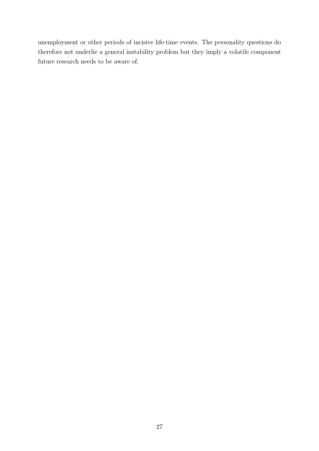unemployment or other periods of incisive life-time events. The personality questions do therefore not underlie a general instability problem but they imply a volatile component future research needs to be aware of.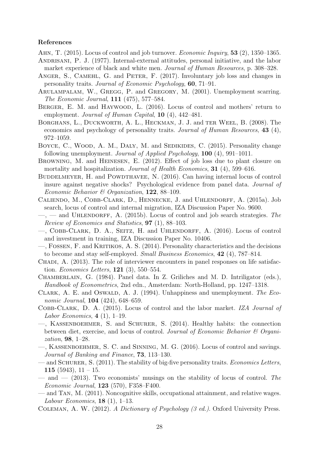#### References

<span id="page-29-8"></span>AHN, T. (2015). Locus of control and job turnover. *Economic Inquiry*, **53** (2), 1350–1365.

- <span id="page-29-6"></span>ANDRISANI, P. J. (1977). Internal-external attitudes, personal initiative, and the labor market experience of black and white men. Journal of Human Resources, p. 308–328.
- <span id="page-29-17"></span>ANGER, S., CAMEHL, G. and PETER, F. (2017). Involuntary job loss and changes in personality traits. Journal of Economic Psychology, 60, 71–91.
- <span id="page-29-4"></span>Arulampalam, W., Gregg, P. and Gregory, M. (2001). Unemployment scarring. The Economic Journal, 111 (475), 577–584.
- <span id="page-29-9"></span>BERGER, E. M. and HAYWOOD, L. (2016). Locus of control and mothers' return to employment. Journal of Human Capital, **10** (4), 442–481.
- <span id="page-29-2"></span>Borghans, L., Duckworth, A. L., Heckman, J. J. and ter Weel, B. (2008). The economics and psychology of personality traits. Journal of Human Resources, 43 (4), 972–1059.
- <span id="page-29-14"></span>BOYCE, C., WOOD, A. M., DALY, M. and SEDIKIDES, C. (2015). Personality change following unemployment. Journal of Applied Psychology, 100 (4), 991–1011.
- <span id="page-29-19"></span>Browning, M. and Heinesen, E. (2012). Effect of job loss due to plant closure on mortality and hospitalization. Journal of Health Economics, 31 (4), 599-616.
- <span id="page-29-20"></span>BUDDELMEYER, H. and POWDTHAVEE, N. (2016). Can having internal locus of control insure against negative shocks? Psychological evidence from panel data. Journal of Economic Behavior & Organization,  $122$ , 88-109.
- <span id="page-29-10"></span>Caliendo, M., Cobb-Clark, D., Hennecke, J. and Uhlendorff, A. (2015a). Job search, locus of control and internal migration, IZA Discussion Paper No. 9600.
- <span id="page-29-0"></span> $\overline{\phantom{a}}$  and UHLENDORFF, A. (2015b). Locus of control and job search strategies. The Review of Economics and Statistics, 97 (1), 88–103.
- <span id="page-29-12"></span>—, Cobb-Clark, D. A., Seitz, H. and Uhlendorff, A. (2016). Locus of control and investment in training, IZA Discussion Paper No. 10406.
- <span id="page-29-5"></span>—, Fossen, F. and Kritikos, A. S. (2014). Personality characteristics and the decisions to become and stay self-employed. Small Business Economics, 42 (4), 787–814.
- <span id="page-29-22"></span>CHADI, A. (2013). The role of interviewer encounters in panel responses on life satisfaction. Economics Letters, 121 (3), 550–554.
- <span id="page-29-21"></span>Chamberlain, G. (1984). Panel data. In Z. Griliches and M. D. Intriligator (eds.), Handbook of Econometrics, 2nd edn., Amsterdam: North-Holland, pp. 1247–1318.
- <span id="page-29-18"></span>CLARK, A. E. and OSWALD, A. J. (1994). Unhappiness and unemployment. The Economic Journal, **104** (424), 648–659.
- <span id="page-29-13"></span>Cobb-Clark, D. A. (2015). Locus of control and the labor market. IZA Journal of Labor Economics,  $4(1)$ , 1–19.
- <span id="page-29-11"></span>—, Kassenboehmer, S. and Schurer, S. (2014). Healthy habits: the connection between diet, exercise, and locus of control. Journal of Economic Behavior & Organization, 98, 1–28.
- <span id="page-29-1"></span>—, Kassenboehmer, S. C. and Sinning, M. G. (2016). Locus of control and savings. Journal of Banking and Finance, 73, 113–130.
- <span id="page-29-15"></span>— and SCHURER, S. (2011). The stability of big-five personality traits. *Economics Letters*, 115 (5943),  $11 - 15$ .
- <span id="page-29-3"></span> $-$  and  $-$  (2013). Two economists' musings on the stability of locus of control. The Economic Journal, 123 (570), F358–F400.
- <span id="page-29-7"></span>— and Tan, M. (2011). Noncognitive skills, occupational attainment, and relative wages. Labour Economics,  $18(1)$ , 1–13.
- <span id="page-29-16"></span>Coleman, A. W. (2012). A Dictionary of Psychology (3 ed.). Oxford University Press.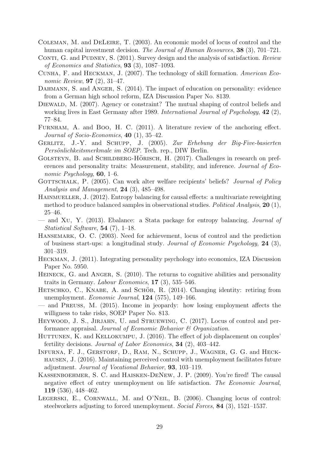- <span id="page-30-1"></span>Coleman, M. and DeLeire, T. (2003). An economic model of locus of control and the human capital investment decision. The Journal of Human Resources, 38 (3), 701–721.
- <span id="page-30-20"></span>CONTI, G. and PUDNEY, S. (2011). Survey design and the analysis of satisfaction. Review of Economics and Statistics, 93 (3), 1087–1093.
- <span id="page-30-17"></span>Cunha, F. and Heckman, J. (2007). The technology of skill formation. American Economic Review, 97 (2), 31–47.
- <span id="page-30-6"></span>DAHMANN, S. and ANGER, S. (2014). The impact of education on personality: evidence from a German high school reform, IZA Discussion Paper No. 8139.
- <span id="page-30-9"></span>DIEWALD, M. (2007). Agency or constraint? The mutual shaping of control beliefs and working lives in East Germany after 1989. International Journal of Psychology, 42 (2), 77–84.
- <span id="page-30-16"></span>FURNHAM, A. and Boo, H. C. (2011). A literature review of the anchoring effect. Journal of Socio-Economics,  $40$  (1), 35-42.
- <span id="page-30-7"></span>GERLITZ, J.-Y. and SCHUPP, J. (2005). Zur Erhebung der Big-Five-basierten Persönlichkeitsmerkmale im SOEP. Tech. rep., DIW Berlin.
- <span id="page-30-12"></span>GOLSTEYN, B. and SCHILDBERG-HÖRISCH, H.  $(2017)$ . Challenges in research on preferences and personality traits: Measurement, stability, and inference. Journal of Economic Psychology,  $60, 1-6$ .
- <span id="page-30-8"></span>GOTTSCHALK, P. (2005). Can work alter welfare recipients' beliefs? Journal of Policy Analysis and Management, 24 (3), 485–498.
- <span id="page-30-5"></span>HAINMUELLER, J. (2012). Entropy balancing for causal effects: a multivariate reweighting method to produce balanced samples in observational studies. Political Analysis, 20 (1), 25–46.
- <span id="page-30-19"></span>— and Xu, Y. (2013). Ebalance: a Stata package for entropy balancing. Journal of Statistical Software, 54 (7), 1–18.
- <span id="page-30-3"></span>Hansemark, O. C. (2003). Need for achievement, locus of control and the prediction of business start-ups: a longitudinal study. Journal of Economic Psychology, 24 (3), 301–319.
- <span id="page-30-2"></span>Heckman, J. (2011). Integrating personality psychology into economics, IZA Discussion Paper No. 5950.
- <span id="page-30-0"></span>HEINECK, G. and ANGER, S. (2010). The returns to cognitive abilities and personality traits in Germany. Labour Economics, 17 (3), 535–546.
- <span id="page-30-15"></span>HETSCHKO, C., KNABE, A. and SCHÖB, R.  $(2014)$ . Changing identity: retiring from unemployment. Economic Journal, 124 (575), 149–166.
- <span id="page-30-14"></span>— and Preuss, M. (2015). Income in jeopardy: how losing employment affects the willigness to take risks, SOEP Paper No. 813.
- <span id="page-30-4"></span>HEYWOOD, J. S., JIRJAHN, U. and STRUEWING, C. (2017). Locus of control and performance appraisal. Journal of Economic Behavior & Organization.
- <span id="page-30-13"></span>HUTTUNEN, K. and KELLOKUMPU, J. (2016). The effect of job displacement on couples' fertility decisions. Journal of Labor Economics, 34 (2), 403–442.
- <span id="page-30-11"></span>INFURNA, F. J., GERSTORF, D., RAM, N., SCHUPP, J., WAGNER, G. G. and HECKhausen, J. (2016). Maintaining perceived control with unemployment facilitates future adjustment. Journal of Vocational Behavior, 93, 103–119.
- <span id="page-30-18"></span>Kassenboehmer, S. C. and Haisken-DeNew, J. P. (2009). You're fired! The causal negative effect of entry unemployment on life satisfaction. The Economic Journal, 119 (536), 448–462.
- <span id="page-30-10"></span>LEGERSKI, E., CORNWALL, M. and O'NEIL, B. (2006). Changing locus of control: steelworkers adjusting to forced unemployment. Social Forces, 84 (3), 1521–1537.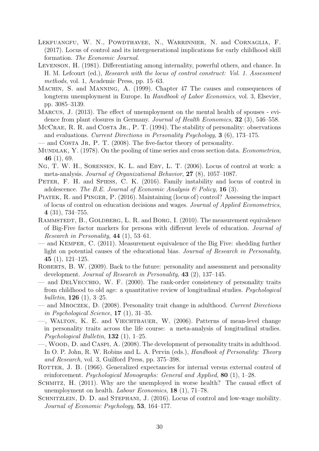- <span id="page-31-4"></span>Lekfuangfu, W. N., Powdthavee, N., Warrinnier, N. and Cornaglia, F. (2017). Locus of control and its intergenerational implications for early childhood skill formation. The Economic Journal.
- <span id="page-31-15"></span>Levenson, H. (1981). Differentiating among internality, powerful others, and chance. In H. M. Lefcourt (ed.), Research with the locus of control construct: Vol. 1. Assessment methods, vol. 1, Academic Press, pp. 15–63.
- <span id="page-31-2"></span>Machin, S. and Manning, A. (1999). Chapter 47 The causes and consequences of longterm unemployment in Europe. In *Handbook of Labor Economics*, vol. 3, Elsevier, pp. 3085–3139.
- <span id="page-31-18"></span>Marcus, J. (2013). The effect of unemployment on the mental health of spouses - evidence from plant closures in Germany. Journal of Health Economics, 32 (3), 546–558.
- <span id="page-31-1"></span>MCCRAE, R. R. and COSTA JR., P. T.  $(1994)$ . The stability of personality: observations and evaluations. Current Directions in Personality Psychology, 3 (6), 173–175.
- <span id="page-31-10"></span>— and COSTA JR, P. T. (2008). The five-factor theory of personality.
- <span id="page-31-19"></span>MUNDLAK, Y. (1978). On the pooling of time series and cross section data. *Econometrica*, 46 (1), 69.
- <span id="page-31-5"></span>Ng, T. W. H., Sorensen, K. L. and Eby, L. T. (2006). Locus of control at work: a meta-analysis. Journal of Organizational Behavior, 27 (8), 1057–1087.
- <span id="page-31-8"></span>PETER, F. H. and SPIESS, C. K. (2016). Family instability and locus of control in adolescence. The B.E. Journal of Economic Analysis  $\mathcal B$  Policy, 16 (3).
- <span id="page-31-17"></span>Piatek, R. and Pinger, P. (2016). Maintaining (locus of) control? Assessing the impact of locus of control on education decisions and wages. Journal of Applied Econometrics, 4 (31), 734–755.
- <span id="page-31-6"></span>RAMMSTEDT, B., GOLDBERG, L. R. and BORG, I. (2010). The measurement equivalence of Big-Five factor markers for persons with different levels of education. Journal of Research in Personality, 44 (1), 53–61.
- <span id="page-31-7"></span>— and Kemper, C. (2011). Measurement equivalence of the Big Five: shedding further light on potential causes of the educational bias. Journal of Research in Personality, 45 $(1)$ , 121–125.
- <span id="page-31-9"></span>ROBERTS, B. W. (2009). Back to the future: personality and assessment and personality development. Journal of Research in Personality, 43 (2), 137–145.
- <span id="page-31-13"></span>— and DelVecchio, W. F. (2000). The rank-order consistency of personality traits from childhood to old age: a quantitative review of longitudinal studies. Psychological bulletin,  $126$  (1), 3-25.
- <span id="page-31-14"></span>— and Mroczek, D. (2008). Personality trait change in adulthood. Current Directions in Psychological Science, 17 (1), 31–35.
- <span id="page-31-11"></span>—, Walton, K. E. and Viechtbauer, W. (2006). Patterns of mean-level change in personality traits across the life course: a meta-analysis of longitudinal studies. Psychological Bulletin,  $132$  (1), 1–25.
- <span id="page-31-12"></span>—, Wood, D. and Caspi, A. (2008). The development of personality traits in adulthood. In O. P. John, R. W. Robins and L. A. Pervin (eds.), *Handbook of Personality: Theory* and Research, vol. 3, Guilford Press, pp. 375–398.
- <span id="page-31-0"></span>ROTTER, J. B. (1966). Generalized expectancies for internal versus external control of reinforcement. Psychological Monographs: General and Applied, 80  $(1)$ , 1–28.
- <span id="page-31-16"></span>SCHMITZ, H. (2011). Why are the unemployed in worse health? The causal effect of unemployment on health. *Labour Economics*, **18** (1), 71–78.
- <span id="page-31-3"></span>SCHNITZLEIN, D. D. and STEPHANI, J. (2016). Locus of control and low-wage mobility. Journal of Economic Psychology, 53, 164–177.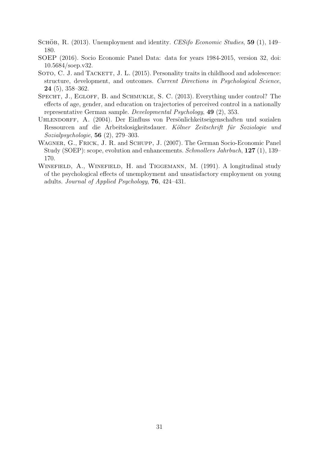- <span id="page-32-5"></span>SCHÖB, R. (2013). Unemployment and identity. CESifo Economic Studies, 59 (1), 149– 180.
- <span id="page-32-1"></span>SOEP (2016). Socio Economic Panel Data: data for years 1984-2015, version 32, doi: 10.5684/soep.v32.
- <span id="page-32-3"></span>SOTO, C. J. and TACKETT, J. L. (2015). Personality traits in childhood and adolescence: structure, development, and outcomes. Current Directions in Psychological Science, 24 (5), 358–362.
- <span id="page-32-2"></span>SPECHT, J., EGLOFF, B. and SCHMUKLE, S. C. (2013). Everything under control? The effects of age, gender, and education on trajectories of perceived control in a nationally representative German sample. Developmental Psychology, 49 (2), 353.
- <span id="page-32-0"></span>UHLENDORFF, A. (2004). Der Einfluss von Persönlichkeitseigenschaften und sozialen Ressourcen auf die Arbeitslosigkeitsdauer. Kölner Zeitschrift für Soziologie und Sozialpsychologie, 56 (2), 279–303.
- <span id="page-32-6"></span>Wagner, G., Frick, J. R. and Schupp, J. (2007). The German Socio-Economic Panel Study (SOEP): scope, evolution and enhancements. Schmollers Jahrbuch, 127 (1), 139– 170.
- <span id="page-32-4"></span>WINEFIELD, A., WINEFIELD, H. and TIGGEMANN, M. (1991). A longitudinal study of the psychological effects of unemployment and unsatisfactory employment on young adults. Journal of Applied Psychology, 76, 424–431.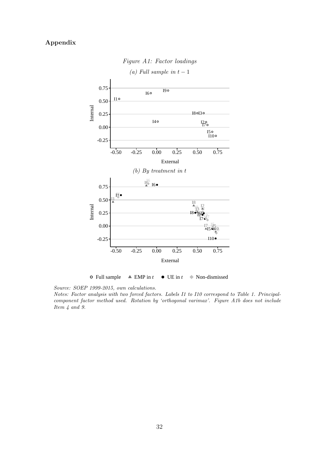# <span id="page-33-0"></span>Appendix



Figure A1: Factor loadings

 $\circ$  Full sample  $\triangle$  EMP in *t*  $\bullet$  UE in *t*  $\diamond$  Non-dismissed

Source: SOEP 1999-2015, own calculations.

Notes: Factor analysis with two forced factors. Labels I1 to I10 correspond to Table [1.](#page-9-0) Principalcomponent factor method used. Rotation by 'orthogonal varimax'. Figure [A1b](#page-33-0) does not include Item 4 and 9.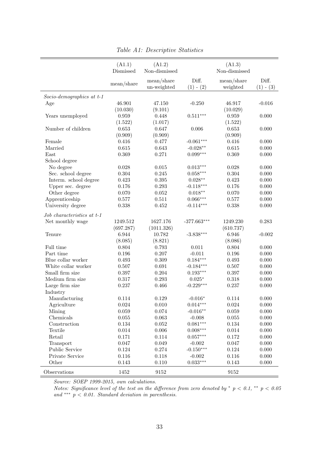<span id="page-34-0"></span>

|                                 | (A1.1)      | (A1.2)                    |                      | (A1.3)                 |                      |
|---------------------------------|-------------|---------------------------|----------------------|------------------------|----------------------|
|                                 | Dismissed   | Non-dismissed             |                      | Non-dismissed          |                      |
|                                 | mean/share  | mean/share<br>un-weighted | Diff.<br>$(1) - (2)$ | mean/share<br>weighted | Diff.<br>$(1) - (3)$ |
| $Socio-dependengraphics$ at t-1 |             |                           |                      |                        |                      |
| Age                             | 46.901      | 47.150                    | $-0.250$             | 46.917                 | $-0.016$             |
|                                 | (10.030)    | (9.101)                   |                      | (10.029)               |                      |
| Years unemployed                | 0.959       | 0.448                     | $0.511***$           | 0.959                  | 0.000                |
|                                 | (1.522)     | (1.017)                   |                      | (1.522)                |                      |
| Number of children              | 0.653       | 0.647                     | 0.006                | 0.653                  | 0.000                |
|                                 | (0.909)     | (0.909)                   |                      | (0.909)                |                      |
| Female                          | 0.416       | 0.477                     | $-0.061***$          | 0.416                  | 0.000                |
| Married                         | 0.615       | 0.643                     | $-0.028**$           | $0.615\,$              | 0.000                |
| East                            | 0.369       | 0.271                     | $0.099***$           | 0.369                  | 0.000                |
| School degree                   |             |                           |                      |                        |                      |
| No degree                       | 0.028       | 0.015                     | $0.013***$           | 0.028                  | 0.000                |
| Sec. school degree              | 0.304       | 0.245                     | $0.058***$           | 0.304                  | 0.000                |
| Interm. school degree           | 0.423       | $0.395\,$                 | $0.028**$            | 0.423                  | 0.000                |
| Upper sec. degree               | 0.176       | 0.293                     | $-0.118***$          | 0.176                  | 0.000                |
| Other degree                    | 0.070       | $\,0.052\,$               | $0.018**$            | 0.070                  | 0.000                |
| Apprenticeship                  | 0.577       | $0.511\,$                 | $0.066***$           | 0.577                  | 0.000                |
| University degree               | 0.338       | $\,0.452\,$               | $-0.114***$          | 0.338                  | 0.000                |
| Job characteristics at t-1      |             |                           |                      |                        |                      |
| Net monthly wage                | 1249.512    | 1627.176                  | $-377.663***$        | 1249.230               | 0.283                |
|                                 | (697.287)   | (1011.326)                |                      | (610.737)              |                      |
| Tenure                          | 6.944       | 10.782                    | $-3.838***$          | 6.946                  | $-0.002$             |
|                                 | (8.085)     | (8.821)                   |                      | (8.086)                |                      |
| Full time                       | 0.804       | 0.793                     | 0.011                | 0.804                  | 0.000                |
| Part time                       | 0.196       | 0.207                     | $-0.011$             | 0.196                  | 0.000                |
| Blue collar worker              | 0.493       | 0.309                     | $0.184***$           | 0.493                  | 0.000                |
| White collar worker             | 0.507       | 0.691                     | $-0.184***$          | 0.507                  | 0.000                |
| Small firm size                 | 0.397       | 0.204                     | $0.193***$           | 0.397                  | 0.000                |
| Medium firm size                | 0.317       | 0.293                     | $0.025*$             | 0.318                  | 0.000                |
| Large firm size                 | 0.237       | 0.466                     | $-0.229***$          | 0.237                  | 0.000                |
| Industry                        |             |                           |                      |                        |                      |
| Manufacturing                   | 0.114       | 0.129                     | $-0.016*$            | 0.114                  | 0.000                |
| Agriculture                     | $\,0.024\,$ | 0.010                     | $0.014***$           | 0.024                  | 0.000                |
| Mining                          | $0.059\,$   | 0.074                     | $-0.016**$           | $0.059\,$              | 0.000                |
| Chemicals                       | $0.055\,$   | 0.063                     | $-0.008$             | $0.055\,$              | 0.000                |
| Construction                    | 0.134       | 0.052                     | $0.081***$           | 0.134                  | 0.000                |
| Textile                         | $0.014\,$   | $0.006\,$                 | $0.008***$           | $0.014\,$              | 0.000                |
| Retail                          | 0.171       | 0.114                     | $0.057***$           | 0.172                  | 0.000                |
| Transport                       | 0.047       | 0.049                     | $-0.002$             | 0.047                  | 0.000                |
| Public Service                  | 0.124       | 0.274                     | $-0.150***$          | 0.124                  | 0.000                |
| Private Service                 | 0.116       | 0.118                     | $-0.002$             | 0.116                  | 0.000                |
| Other                           | 0.143       | 0.110                     | $0.033***$           | 0.143                  | 0.000                |
| Observations                    | 1452        | 9152                      |                      | 9152                   |                      |

Table A1: Descriptive Statistics

Notes: Significance level of the test on the difference from zero denoted by  $*$  p < 0.1,  $*$  p < 0.05 and \*\*\*  $p < 0.01$ . Standard deviation in parenthesis.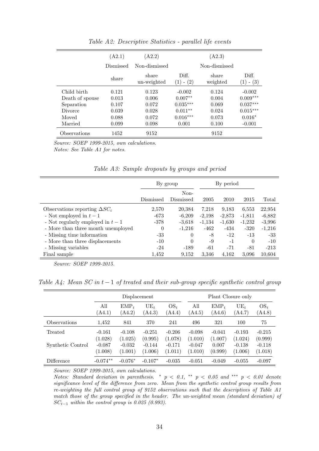<span id="page-35-0"></span>

|                 | (A2.1)    | (A2.2)               |                         | (A2.3)            |                                      |
|-----------------|-----------|----------------------|-------------------------|-------------------|--------------------------------------|
|                 | Dismissed | Non-dismissed        |                         | Non-dismissed     |                                      |
|                 | share     | share<br>un-weighted | Diff.<br>$- (2)$<br>(1) | share<br>weighted | Diff.<br>$- (3)$<br>$\left(1\right)$ |
| Child birth     | 0.121     | 0.123                | $-0.002$                | 0.124             | $-0.002$                             |
| Death of spouse | 0.013     | 0.006                | $0.007**$               | 0.004             | $0.009***$                           |
| Separation      | 0.107     | 0.072                | $0.035***$              | 0.069             | $0.037***$                           |
| Divorce         | 0.039     | 0.028                | $0.011**$               | 0.024             | $0.015***$                           |
| Moved           | 0.088     | 0.072                | $0.016***$              | 0.073             | $0.016*$                             |
| Married         | 0.099     | 0.098                | 0.001                   | 0.100             | $-0.001$                             |
| Observations    | 1452      | 9152                 |                         | 9152              |                                      |

Table A2: Descriptive Statistics - parallel life events

Source: SOEP 1999-2015, own calculations. Notes: See Table [A1](#page-34-0) for notes.

<span id="page-35-1"></span>

|                                      | By group  | By period         |          |          |          |          |
|--------------------------------------|-----------|-------------------|----------|----------|----------|----------|
|                                      | Dismissed | Non-<br>Dismissed | 2005     | 2010     | 2015     | Total    |
| Observations reporting $\Delta SC_i$ | 2,570     | 20,384            | 7.218    | 9.183    | 6,553    | 22,954   |
| - Not employed in $t-1$              | $-673$    | $-6,209$          | $-2,198$ | $-2,873$ | $-1,811$ | $-6,882$ |
| - Not regularly employed in $t-1$    | $-378$    | $-3.618$          | $-1,134$ | $-1.630$ | $-1,232$ | $-3,996$ |
| - More than three month unemployed   | $\theta$  | $-1,216$          | -462     | -434     | $-320$   | $-1,216$ |
| - Missing time information           | $-33$     | 0                 | -8       | $-12$    | $-13$    | $-33$    |
| - More than three displacements      | $-10$     | $\Omega$          | -9       | $-1$     | $\Omega$ | $-10$    |
| - Missing variables                  | $-24$     | $-189$            | -61      | $-71$    | $-81$    | $-213$   |
| Final sample                         | 1,452     | 9,152             | 3,346    | 4,162    | 3.096    | 10.604   |

Table A3: Sample dropouts by groups and period

Source: SOEP 1999-2015.

<span id="page-35-2"></span>Table  $A_4$ : Mean SC in t – 1 of treated and their sub-group specific synthetic control group

|                   |                                    | Displacement |           |          |          | Plant Closure only |          |          |  |
|-------------------|------------------------------------|--------------|-----------|----------|----------|--------------------|----------|----------|--|
|                   | $UE_t$<br>All<br>$OS_t$<br>$EMP_t$ |              | All       | $EMP_t$  | $UE_t$   | $OS_t$             |          |          |  |
|                   | (A4.1)                             | (A4.2)       | (A4.3)    | A4.4)    | (A4.5)   | (A4.6)             | (A4.7)   | (A4.8)   |  |
| Observations      | 1,452                              | 841          | 370       | 241      | 496      | 321                | 100      | 75       |  |
| Treated           | $-0.161$                           | $-0.108$     | $-0.251$  | $-0.206$ | $-0.098$ | $-0.041$           | $-0.193$ | $-0.215$ |  |
|                   | (1.028)                            | (1.025)      | (0.995)   | (1.078)  | (1.010)  | (1.007)            | (1.024)  | (0.999)  |  |
| Synthetic Control | $-0.087$                           | $-0.032$     | $-0.144$  | $-0.171$ | $-0.047$ | 0.007              | $-0.138$ | $-0.118$ |  |
|                   | (1.008)                            | (1.001)      | (1.006)   | (1.011)  | (1.010)  | (0.999)            | (1.006)  | (1.018)  |  |
| Difference        | $-0.074**$                         | $-0.076*$    | $-0.107*$ | $-0.035$ | $-0.051$ | $-0.049$           | $-0.055$ | $-0.097$ |  |

Source: SOEP 1999-2015, own calculations.

Notes: Standard deviation in parenthesis. \*  $p < 0.1$ , \*\*  $p < 0.05$  and \*\*\*  $p < 0.01$  denote significance level of the difference from zero. Mean from the synthetic control group results from re-weighting the full control group of 9152 observations such that the descriptives of Table [A1](#page-34-0) match those of the group specified in the header. The un-weighted mean (standard deviation) of  $SC_{t-1}$  within the control group is 0.025 (0.993).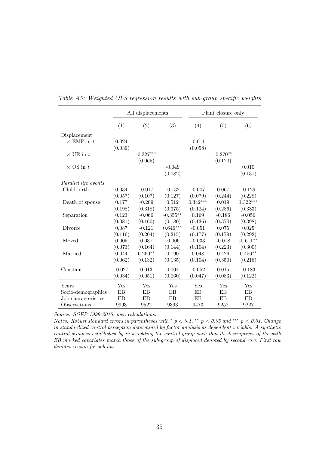|                      |          | All displacements |            |            | Plant closure only |            |  |  |
|----------------------|----------|-------------------|------------|------------|--------------------|------------|--|--|
|                      | (1)      | (2)               | (3)        | (4)        | (5)                | (6)        |  |  |
| Displacement         |          |                   |            |            |                    |            |  |  |
| $\times$ EMP in t    | 0.024    |                   |            | $-0.011$   |                    |            |  |  |
|                      | (0.039)  |                   |            | (0.058)    |                    |            |  |  |
| $\times$ UE in $t$   |          | $-0.327***$       |            |            | $-0.270**$         |            |  |  |
|                      |          | (0.065)           |            |            | (0.120)            |            |  |  |
| $\times$ OS in t     |          |                   | $-0.049$   |            |                    | 0.010      |  |  |
|                      |          |                   | (0.082)    |            |                    | (0.131)    |  |  |
| Parallel life events |          |                   |            |            |                    |            |  |  |
| Child birth          | 0.034    | $-0.017$          | $-0.132$   | $-0.007$   | 0.067              | $-0.129$   |  |  |
|                      | (0.057)  | (0.107)           | (0.127)    | (0.079)    | (0.244)            | (0.228)    |  |  |
| Death of spouse      | 0.177    | $-0.209$          | 0.512      | $0.342***$ | 0.019              | $1.322***$ |  |  |
|                      | (0.198)  | (0.318)           | (0.375)    | (0.124)    | (0.286)            | (0.333)    |  |  |
| Separation           | 0.123    | $-0.066$          | $-0.355**$ | 0.169      | $-0.186$           | $-0.056$   |  |  |
|                      | (0.081)  | (0.160)           | (0.180)    | (0.136)    | (0.370)            | (0.398)    |  |  |
| Divorce              | 0.087    | $-0.121$          | $0.646***$ | $-0.051$   | 0.075              | 0.025      |  |  |
|                      | (0.116)  | (0.204)           | (0.215)    | (0.177)    | (0.179)            | (0.292)    |  |  |
| Moved                | 0.005    | 0.037             | $-0.006$   | $-0.033$   | $-0.018$           | $-0.611**$ |  |  |
|                      | (0.073)  | (0.164)           | (0.144)    | (0.104)    | (0.223)            | (0.300)    |  |  |
| Married              | 0.044    | $0.260**$         | 0.190      | 0.048      | 0.426              | $0.456**$  |  |  |
|                      | (0.062)  | (0.132)           | (0.135)    | (0.104)    | (0.350)            | (0.216)    |  |  |
| Constant             | $-0.027$ | 0.013             | 0.004      | $-0.052$   | 0.015              | $-0.183$   |  |  |
|                      | (0.034)  | (0.051)           | (0.060)    | (0.047)    | (0.083)            | (0.122)    |  |  |
| Years                | Yes      | Yes               | Yes        | Yes        | Yes                | Yes        |  |  |
| Socio-demographics   | EB       | EB                | EB         | EB         | EB                 | EB         |  |  |
| Job characteristics  | EB       | EB                | EB         | EB         | EB                 | EB         |  |  |
| Observations         | 9993     | 9522              | 9393       | 9473       | 9252               | 9227       |  |  |

<span id="page-36-0"></span>Table A5: Weighted OLS regression results with sub-group specific weights

Notes: Robust standard errors in parentheses with  $p < 0.1$ , \*\*  $p < 0.05$  and \*\*\*  $p < 0.01$ . Change in standardized control perception determined by factor analysis as dependent variable. A synthetic control group is established by re-weighting the control group such that its descriptives of the with EB marked covariates match those of the sub-group of displaced denoted by second row. First row denotes reason for job loss.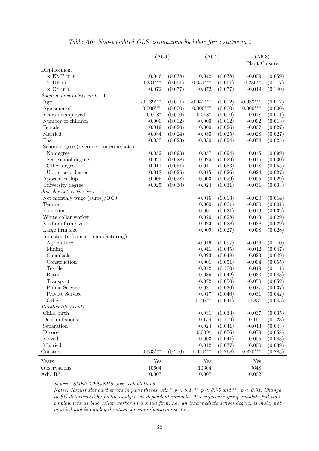<span id="page-37-0"></span>

|                                         | (A6.1)      |         | ( A6.2 )    |         | ( A6.3 )<br>Plant Closure |         |
|-----------------------------------------|-------------|---------|-------------|---------|---------------------------|---------|
| Displacement                            |             |         |             |         |                           |         |
| $\times$ EMP in $t$                     | 0.046       | (0.038) | 0.042       | (0.038) | $-0.009$                  | (0.059) |
| $\times$ UE in $t$                      | $-0.331***$ | (0.061) | $-0.331***$ | (0.061) | $-0.280**$                | (0.117) |
| $\times$ OS in $t$                      | $-0.072$    | (0.077) | $-0.072$    | (0.077) | $-0.049$                  | (0.140) |
| Socio-demographics in $t-1$             |             |         |             |         |                           |         |
| Age                                     | $-0.039***$ | (0.011) | $-0.042***$ | (0.012) | $-0.033***$               | (0.012) |
| Age squared                             | $0.000***$  | (0.000) | $0.000***$  | (0.000) | $0.000***$                | (0.000) |
| Years unemployed                        | $0.018*$    | (0.010) | $0.018*$    | (0.010) | 0.018                     | (0.011) |
| Number of children                      | $-0.000$    | (0.012) | $-0.000$    | (0.012) | $-0.002$                  | (0.013) |
| Female                                  | 0.019       | (0.020) | 0.000       | (0.026) | $-0.007$                  | (0.027) |
| Married                                 | $-0.034$    | (0.024) | $-0.030$    | (0.025) | $-0.028$                  | (0.027) |
| East                                    | $-0.033$    | (0.023) | $-0.030$    | (0.024) | $-0.034$                  | (0.025) |
| School degree (reference: intermediate) |             |         |             |         |                           |         |
| No degree                               | 0.052       | (0.093) | 0.057       | (0.094) | 0.015                     | (0.099) |
| Sec. school degree                      | 0.021       | (0.028) | $0.025\,$   | (0.029) | 0.016                     | (0.030) |
| Other degree                            | 0.011       | (0.051) | $0.011\,$   | (0.053) | 0.018                     | (0.055) |
| Upper sec. degree                       | 0.013       | (0.025) | $\,0.015\,$ | (0.026) | 0.024                     | (0.027) |
| Apprenticeship                          | 0.005       | (0.028) | $0.003\,$   | (0.029) | $-0.005$                  | (0.029) |
| University degree                       | $-0.025$    | (0.030) | $-0.024$    | (0.031) | $-0.031$                  | (0.033) |
| Job-characteristics in $t-1$            |             |         |             |         |                           |         |
| Net monthly wage (euros)/1000           |             |         | $-0.015$    | (0.013) | $-0.020$                  | (0.014) |
| Tenure                                  |             |         | $0.000\,$   | (0.001) | $-0.000$                  | (0.001) |
| Part time                               |             |         | $0.007\,$   | (0.031) | $-0.013$                  | (0.032) |
| White collar worker                     |             |         | 0.020       | (0.028) | 0.013                     | (0.029) |
| Medium firm size                        |             |         | 0.023       | (0.028) | 0.028                     | (0.029) |
| Large firm size                         |             |         | $0.009\,$   | (0.027) | 0.008                     | (0.028) |
| Industry (reference: manufacturing)     |             |         |             |         |                           |         |
| Agriculture                             |             |         | $-0.016$    | (0.097) | $-0.016$                  | (0.110) |
| Mining                                  |             |         | $-0.041$    | (0.045) | $-0.042$                  | (0.047) |
| Chemicals                               |             |         | 0.023       | (0.048) | 0.023                     | (0.049) |
| Construction                            |             |         | 0.001       | (0.051) | $-0.004$                  | (0.055) |
| Textile                                 |             |         | $-0.012$    | (0.100) | 0.049                     | (0.111) |
| Retail                                  |             |         | $-0.035$    | (0.042) | $-0.030$                  | (0.043) |
| Transport                               |             |         | $-0.072$    | (0.050) | $-0.050$                  | (0.052) |
| Public Service                          |             |         | $-0.027$    | (0.036) | $-0.027$                  | (0.037) |
| Private Service                         |             |         | 0.017       | (0.040) | 0.031                     | (0.042) |
| Other                                   |             |         | $-0.097**$  | (0.041) | $-0.083*$                 | (0.043) |
| Parallel life events                    |             |         |             |         |                           |         |
| Child birth                             |             |         | $-0.031$    | (0.033) | $-0.037$                  | (0.035) |
| Death of spouse                         |             |         | $0.154\,$   | (0.119) | 0.161                     | (0.128) |
| Separation                              |             |         | $-0.024$    | (0.041) | $-0.043$                  | (0.043) |
| Divorce                                 |             |         | $0.099*$    | (0.056) | 0.079                     | (0.058) |
| Moved                                   |             |         | $-0.003$    | (0.041) | 0.005                     | (0.043) |
| Married                                 |             |         | 0.012       | (0.037) | 0.000                     | (0.039) |
| Constant                                | $0.933***$  | (0.256) | $1.041***$  | (0.268) | $0.870***$                | (0.285) |
| Years                                   | Yes         |         | Yes         |         | Yes                       |         |
| Observations                            | 10604       |         | 10604       |         | 9648                      |         |
| Adj. $R^2$                              | 0.007       |         | 0.007       |         | $0.002\,$                 |         |

Table A6: Non-weighted OLS estimations by labor force status in t

Notes: Robust standard errors in parentheses with  $p < 0.1$ , \*\*  $p < 0.05$  and \*\*\*  $p < 0.01$ . Change in SC determined by factor analysis as dependent variable. The reference group inhabits full time employment as blue collar worker in a small firm, has an intermediate school degree, is male, not married and is employed within the manufacturing sector.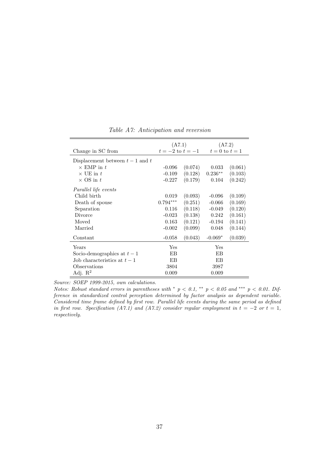<span id="page-38-0"></span>

| Change in SC from                  | (A7.1)     | $t = -2$ to $t = -1$ | (A7.2)<br>$t=0$ to $t=1$ |         |  |
|------------------------------------|------------|----------------------|--------------------------|---------|--|
|                                    |            |                      |                          |         |  |
| Displacement between $t-1$ and $t$ |            |                      |                          |         |  |
| $\times$ EMP in t                  | $-0.096$   | (0.074)              | 0.033                    | (0.061) |  |
| $\times$ UE in t                   | $-0.109$   | (0.128)              | $0.236**$                | (0.103) |  |
| $\times$ OS in t                   | $-0.227$   | (0.179)              | 0.104                    | (0.242) |  |
| Parallel life events               |            |                      |                          |         |  |
| Child birth                        | 0.019      | (0.093)              | $-0.096$                 | (0.109) |  |
| Death of spouse                    | $0.794***$ | (0.251)              | $-0.066$                 | (0.169) |  |
| Separation                         | 0.116      | (0.118)              | $-0.049$                 | (0.120) |  |
| Divorce                            | $-0.023$   | (0.138)              | 0.242                    | (0.161) |  |
| Moved                              | 0.163      | (0.121)              | $-0.194$                 | (0.141) |  |
| Married                            | $-0.002$   | (0.099)              | 0.048                    | (0.144) |  |
| Constant                           | $-0.058$   | (0.043)              | $-0.069*$                | (0.039) |  |
| Years                              | <b>Yes</b> |                      | Yes                      |         |  |
| Socio-demographics at $t-1$        | EB         |                      | EB                       |         |  |
| Job characteristics at $t-1$       | EB         |                      | EB                       |         |  |
| Observations                       | 3804       |                      | 3987                     |         |  |
| Adj. $\mathbb{R}^2$                | 0.009      |                      | 0.009                    |         |  |

Table A7: Anticipation and reversion

Notes: Robust standard errors in parentheses with  $p < 0.1$ , \*\*  $p < 0.05$  and \*\*\*  $p < 0.01$ . Difference in standardized control perception determined by factor analysis as dependent variable. Considered time frame defined by first row. Parallel life events during the same period as defined in first row. Specification [\(A7.](#page-38-0)1) and (A7.2) consider regular employment in  $t = -2$  or  $t = 1$ , respectively.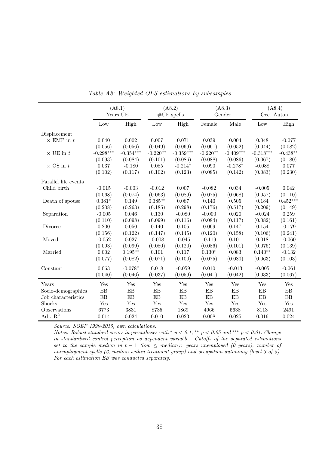<span id="page-39-0"></span>

|                      |             | (48.1)<br>Years UE |            | (48.2)<br>$#UE$ spells |            | (A8.3)<br>Gender | (A8.4)<br>Occ. Auton. |            |
|----------------------|-------------|--------------------|------------|------------------------|------------|------------------|-----------------------|------------|
|                      | Low         | High               | Low        | High                   | Female     | Male             | Low                   | High       |
| Displacement         |             |                    |            |                        |            |                  |                       |            |
| $\times$ EMP in $t$  | 0.040       | 0.002              | 0.007      | 0.071                  | 0.039      | 0.004            | 0.048                 | $-0.077$   |
|                      | (0.056)     | (0.056)            | (0.049)    | (0.069)                | (0.061)    | (0.052)          | (0.044)               | (0.082)    |
| $\times$ UE in t     | $-0.298***$ | $-0.354***$        | $-0.220**$ | $-0.359***$            | $-0.220**$ | $-0.409***$      | $-0.318***$           | $-0.438**$ |
|                      | (0.093)     | (0.084)            | (0.101)    | (0.086)                | (0.088)    | (0.086)          | (0.067)               | (0.180)    |
| $\times$ OS in $t$   | 0.037       | $-0.180$           | 0.085      | $-0.214*$              | 0.090      | $-0.278*$        | $-0.088$              | 0.077      |
|                      | (0.102)     | (0.117)            | (0.102)    | (0.123)                | (0.085)    | (0.142)          | (0.083)               | (0.230)    |
| Parallel life events |             |                    |            |                        |            |                  |                       |            |
| Child birth          | $-0.015$    | $-0.003$           | $-0.012$   | 0.007                  | $-0.082$   | 0.034            | $-0.005$              | 0.042      |
|                      | (0.068)     | (0.074)            | (0.063)    | (0.089)                | (0.075)    | (0.068)          | (0.057)               | (0.110)    |
| Death of spouse      | $0.381*$    | 0.149              | $0.385**$  | 0.087                  | 0.140      | 0.505            | 0.184                 | $0.452***$ |
|                      | (0.208)     | (0.263)            | (0.185)    | (0.298)                | (0.176)    | (0.517)          | (0.209)               | (0.149)    |
| Separation           | $-0.005$    | 0.046              | 0.130      | $-0.080$               | $-0.000$   | 0.020            | $-0.024$              | 0.259      |
|                      | (0.110)     | (0.098)            | (0.099)    | (0.116)                | (0.084)    | (0.117)          | (0.082)               | (0.161)    |
| Divorce              | 0.200       | 0.050              | 0.140      | 0.105                  | 0.069      | 0.147            | 0.154                 | $-0.179$   |
|                      | (0.156)     | (0.122)            | (0.147)    | (0.145)                | (0.120)    | (0.158)          | (0.106)               | (0.241)    |
| Moved                | $-0.052$    | 0.027              | $-0.008$   | $-0.045$               | $-0.119$   | 0.101            | 0.018                 | $-0.060$   |
|                      | (0.093)     | (0.099)            | (0.080)    | (0.120)                | (0.086)    | (0.101)          | (0.076)               | (0.139)    |
| Married              | 0.002       | $0.195**$          | 0.101      | 0.117                  | $0.130*$   | 0.083            | $0.140**$             | $-0.132$   |
|                      | (0.077)     | (0.082)            | (0.071)    | (0.100)                | (0.075)    | (0.080)          | (0.063)               | (0.103)    |
| Constant             | 0.063       | $-0.078*$          | 0.018      | $-0.059$               | 0.010      | $-0.013$         | $-0.005$              | $-0.061$   |
|                      | (0.040)     | (0.046)            | (0.037)    | (0.059)                | (0.041)    | (0.042)          | (0.033)               | (0.067)    |
| Years                | Yes         | Yes                | Yes        | Yes                    | Yes        | Yes              | Yes                   | Yes        |
| Socio-demographics   | EB          | EB                 | EB         | EB                     | EB         | EB               | EB                    | EB         |
| Job characteristics  | EB          | EB                 | EB         | EB                     | EB         | EB               | EB                    | EB         |
| Shocks               | Yes         | Yes                | Yes        | Yes                    | Yes        | Yes              | Yes                   | Yes        |
| Observations         | 6773        | 3831               | 8735       | 1869                   | 4966       | 5638             | 8113                  | 2491       |
| Adj. $\mathbf{R}^2$  | 0.014       | 0.024              | 0.010      | 0.023                  | 0.008      | 0.025            | 0.016                 | 0.024      |

Table A8: Weighted OLS estimations by subsamples

Notes: Robust standard errors in parentheses with  $p < 0.1$ , \*\*  $p < 0.05$  and \*\*\*  $p < 0.01$ . Change in standardized control perception as dependent variable. Cutoffs of the separated estimations set to the sample median in  $t - 1$  (low  $\leq$  median): years unemployed (0 years), number of unemployment spells (2, median within treatment group) and occupation autonomy (level 3 of 5). For each estimation EB was conducted separately.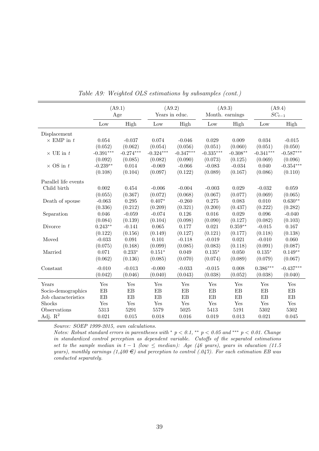<span id="page-40-0"></span>

|                      | (A9.1)<br>Age   |             | (A9.2)<br>Years in educ. |             | (A9.3)<br>Month. earnings |            | (A9.4)<br>$SC_{t-1}$ |             |
|----------------------|-----------------|-------------|--------------------------|-------------|---------------------------|------------|----------------------|-------------|
|                      | $_{\text{Low}}$ | High        | Low                      | High        | Low                       | High       | Low                  | High        |
| Displacement         |                 |             |                          |             |                           |            |                      |             |
| $\times$ EMP in $t$  | 0.054           | $-0.037$    | 0.074                    | $-0.046$    | 0.029                     | 0.009      | 0.034                | $-0.015$    |
|                      | (0.052)         | (0.062)     | (0.054)                  | (0.056)     | (0.051)                   | (0.060)    | (0.051)              | (0.050)     |
| $\times$ UE in t     | $-0.391***$     | $-0.274***$ | $-0.324***$              | $-0.347***$ | $-0.335***$               | $-0.308**$ | $-0.341***$          | $-0.587***$ |
|                      | (0.092)         | (0.085)     | (0.082)                  | (0.090)     | (0.073)                   | (0.125)    | (0.069)              | (0.096)     |
| $\times$ OS in $t$   | $-0.239**$      | 0.014       | $-0.069$                 | $-0.066$    | $-0.083$                  | $-0.034$   | 0.040                | $-0.354***$ |
|                      | (0.108)         | (0.104)     | (0.097)                  | (0.122)     | (0.089)                   | (0.167)    | (0.086)              | (0.110)     |
| Parallel life events |                 |             |                          |             |                           |            |                      |             |
| Child birth          | 0.002           | 0.454       | $-0.006$                 | $-0.004$    | $-0.003$                  | 0.029      | $-0.032$             | 0.059       |
|                      | (0.055)         | (0.367)     | (0.072)                  | (0.068)     | (0.067)                   | (0.077)    | (0.069)              | (0.065)     |
| Death of spouse      | $-0.063$        | 0.295       | $0.407*$                 | $-0.260$    | 0.275                     | 0.083      | 0.010                | $0.630**$   |
|                      | (0.336)         | (0.212)     | (0.209)                  | (0.321)     | (0.200)                   | (0.437)    | (0.222)              | (0.282)     |
| Separation           | 0.046           | $-0.059$    | $-0.074$                 | 0.126       | 0.016                     | 0.029      | 0.096                | $-0.040$    |
|                      | (0.084)         | (0.139)     | (0.104)                  | (0.098)     | (0.090)                   | (0.127)    | (0.082)              | (0.103)     |
| Divorce              | $0.243**$       | $-0.141$    | 0.065                    | 0.177       | 0.021                     | $0.359**$  | $-0.015$             | 0.167       |
|                      | (0.122)         | (0.156)     | (0.149)                  | (0.127)     | (0.121)                   | (0.177)    | (0.118)              | (0.138)     |
| Moved                | $-0.033$        | 0.091       | 0.101                    | $-0.118$    | $-0.019$                  | 0.021      | $-0.010$             | 0.060       |
|                      | (0.075)         | (0.168)     | (0.099)                  | (0.085)     | (0.083)                   | (0.118)    | (0.091)              | (0.087)     |
| Married              | 0.071           | $0.233*$    | $0.151*$                 | 0.049       | $0.135*$                  | 0.050      | $0.135*$             | $0.149**$   |
|                      | (0.062)         | (0.136)     | (0.085)                  | (0.070)     | (0.074)                   | (0.089)    | (0.079)              | (0.067)     |
| Constant             | $-0.010$        | $-0.013$    | $-0.000$                 | $-0.033$    | $-0.015$                  | 0.008      | $0.386***$           | $-0.437***$ |
|                      | (0.042)         | (0.046)     | (0.040)                  | (0.043)     | (0.038)                   | (0.052)    | (0.038)              | (0.040)     |
| Years                | Yes             | Yes         | Yes                      | Yes         | Yes                       | Yes        | Yes                  | Yes         |
| Socio-demographics   | EB              | EB          | EB                       | EB          | EB                        | EB         | EB                   | EB          |
| Job characteristics  | EB              | EB          | EB                       | EB          | EB                        | EB         | EB                   | EB          |
| Shocks               | Yes             | Yes         | Yes                      | Yes         | Yes                       | Yes        | Yes                  | Yes         |
| Observations         | 5313            | 5291        | 5579                     | 5025        | 5413                      | 5191       | 5302                 | 5302        |
| Adj. $\mathbf{R}^2$  | 0.021           | 0.015       | 0.018                    | 0.016       | 0.019                     | 0.013      | 0.021                | 0.045       |

Table A9: Weighted OLS estimations by subsamples (cont.)

Notes: Robust standard errors in parentheses with  $p < 0.1$ , \*\*  $p < 0.05$  and \*\*\*  $p < 0.01$ . Change in standardized control perception as dependent variable. Cutoffs of the separated estimations set to the sample median in t – 1 (low  $\leq$  median): Age (46 years), years in education (11.5 years), monthly earnings  $(1,400 \in)$  and perception to control  $(0.047)$ . For each estimation EB was conducted separately.